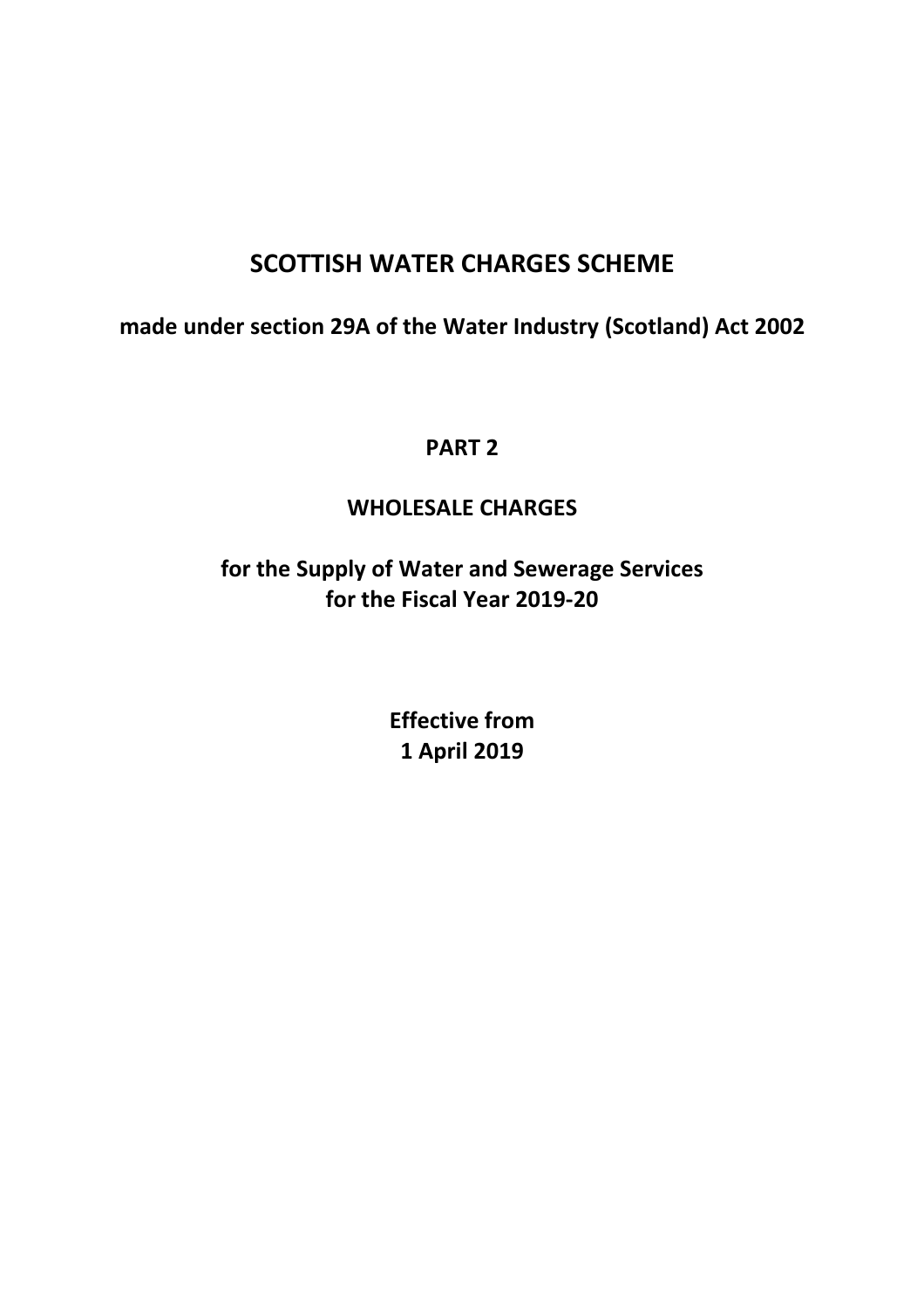## SCOTTISH WATER CHARGES SCHEME

made under section 29A of the Water Industry (Scotland) Act 2002

PART 2

## WHOLESALE CHARGES

for the Supply of Water and Sewerage Services for the Fiscal Year 2019-20

> Effective from 1 April 2019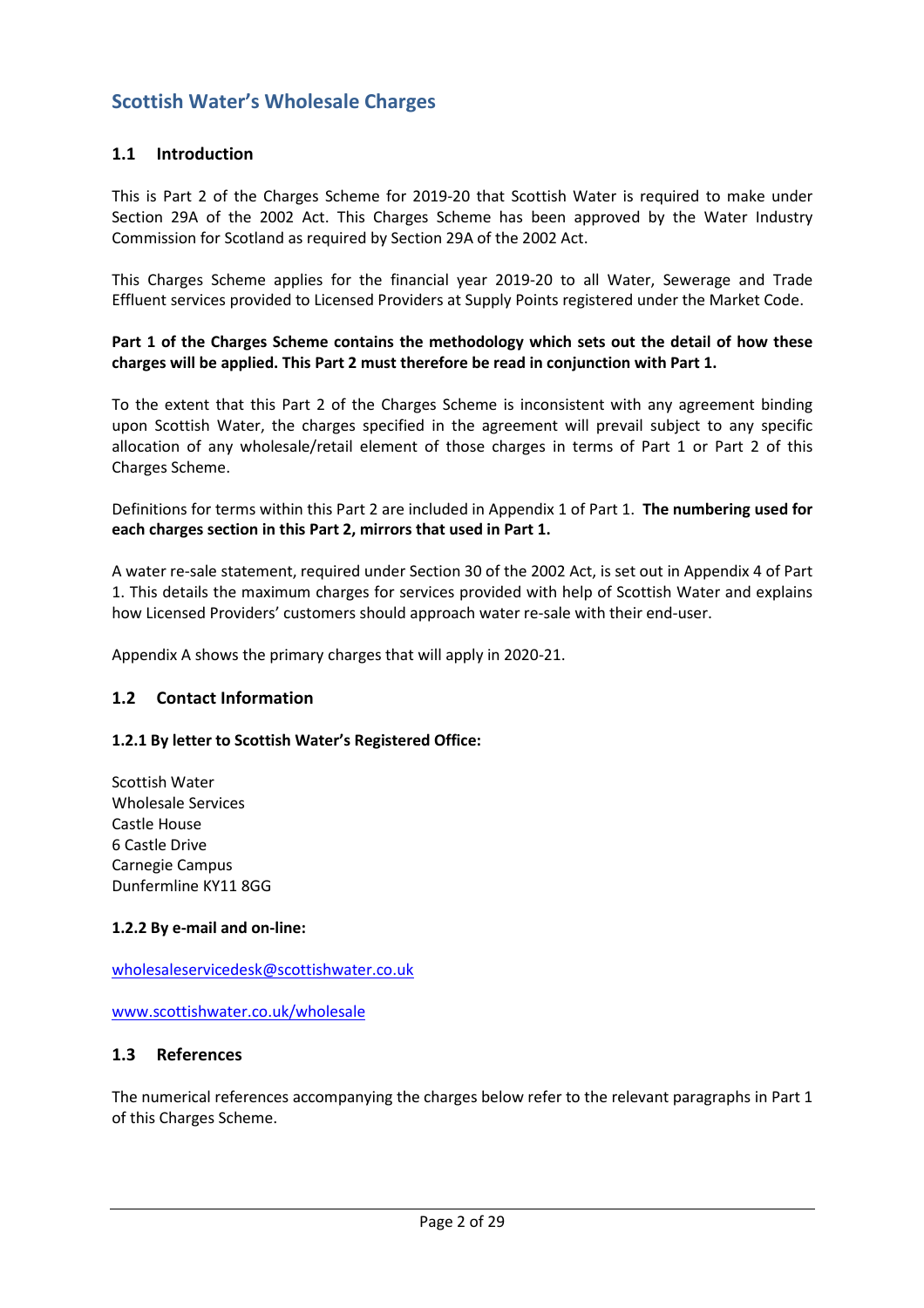## Scottish Water's Wholesale Charges

#### 1.1 Introduction

This is Part 2 of the Charges Scheme for 2019-20 that Scottish Water is required to make under Section 29A of the 2002 Act. This Charges Scheme has been approved by the Water Industry Commission for Scotland as required by Section 29A of the 2002 Act.

This Charges Scheme applies for the financial year 2019-20 to all Water, Sewerage and Trade Effluent services provided to Licensed Providers at Supply Points registered under the Market Code.

#### Part 1 of the Charges Scheme contains the methodology which sets out the detail of how these charges will be applied. This Part 2 must therefore be read in conjunction with Part 1.

To the extent that this Part 2 of the Charges Scheme is inconsistent with any agreement binding upon Scottish Water, the charges specified in the agreement will prevail subject to any specific allocation of any wholesale/retail element of those charges in terms of Part 1 or Part 2 of this Charges Scheme.

Definitions for terms within this Part 2 are included in Appendix 1 of Part 1. The numbering used for each charges section in this Part 2, mirrors that used in Part 1.

A water re-sale statement, required under Section 30 of the 2002 Act, is set out in Appendix 4 of Part 1. This details the maximum charges for services provided with help of Scottish Water and explains how Licensed Providers' customers should approach water re-sale with their end-user.

Appendix A shows the primary charges that will apply in 2020-21.

#### 1.2 Contact Information

#### 1.2.1 By letter to Scottish Water's Registered Office:

Scottish Water Wholesale Services Castle House 6 Castle Drive Carnegie Campus Dunfermline KY11 8GG

#### 1.2.2 By e-mail and on-line:

wholesaleservicedesk@scottishwater.co.uk

www.scottishwater.co.uk/wholesale

#### 1.3 References

The numerical references accompanying the charges below refer to the relevant paragraphs in Part 1 of this Charges Scheme.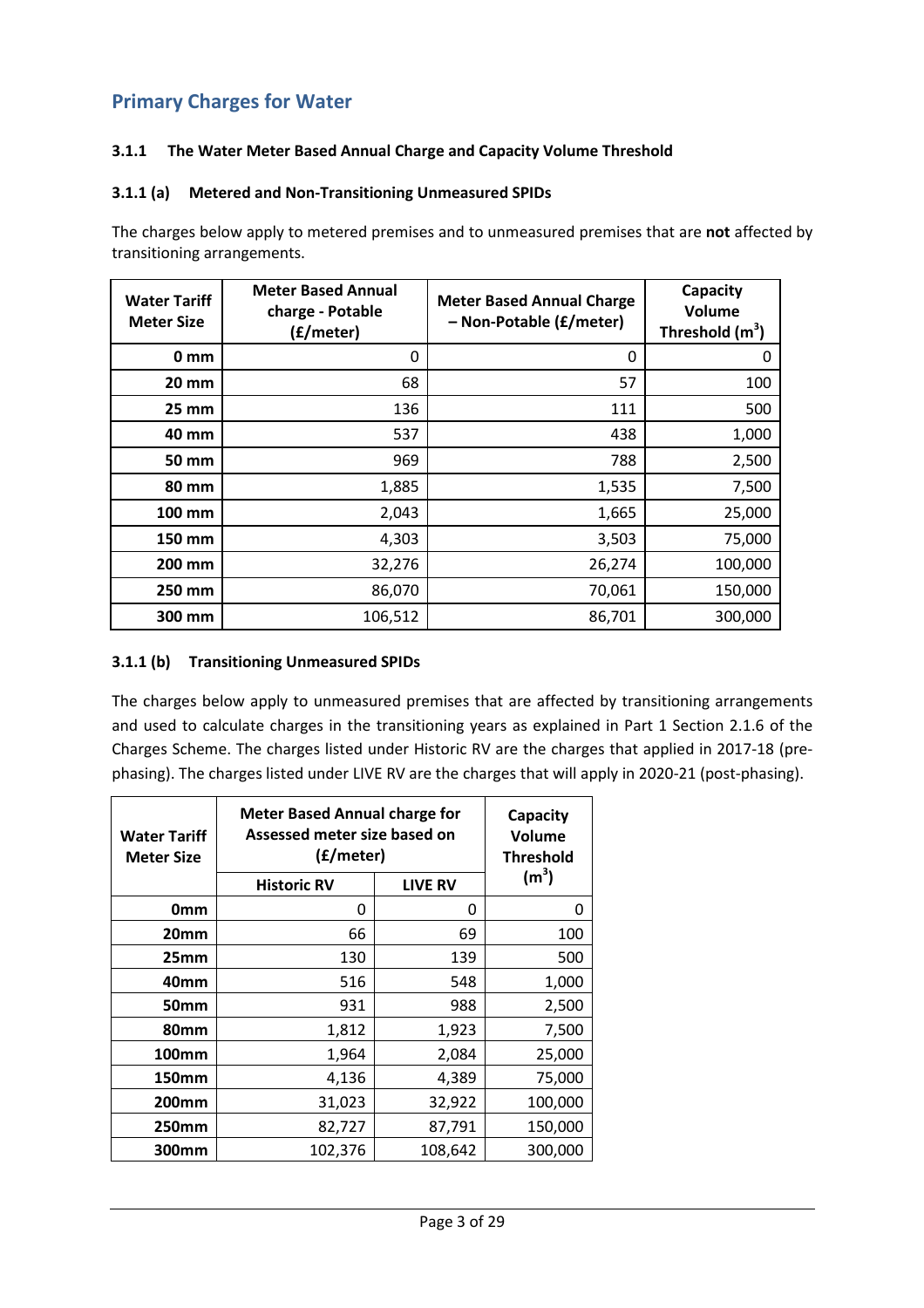## Primary Charges for Water

#### 3.1.1 The Water Meter Based Annual Charge and Capacity Volume Threshold

#### 3.1.1 (a) Metered and Non-Transitioning Unmeasured SPIDs

The charges below apply to metered premises and to unmeasured premises that are not affected by transitioning arrangements.

| <b>Water Tariff</b><br><b>Meter Size</b> | <b>Meter Based Annual</b><br>charge - Potable<br>(£/meter) | <b>Meter Based Annual Charge</b><br>- Non-Potable (£/meter) | Capacity<br>Volume<br>Threshold $(m^3)$ |
|------------------------------------------|------------------------------------------------------------|-------------------------------------------------------------|-----------------------------------------|
| 0 <sub>mm</sub>                          | 0                                                          | 0                                                           | O                                       |
| 20 mm                                    | 68                                                         | 57                                                          | 100                                     |
| <b>25 mm</b>                             | 136                                                        | 111                                                         | 500                                     |
| 40 mm                                    | 537                                                        | 438                                                         | 1,000                                   |
| 50 mm                                    | 969                                                        | 788                                                         | 2,500                                   |
| 80 mm                                    | 1,885                                                      | 1,535                                                       | 7,500                                   |
| 100 mm                                   | 2,043                                                      | 1,665                                                       | 25,000                                  |
| 150 mm                                   | 4,303                                                      | 3,503                                                       | 75,000                                  |
| 200 mm                                   | 32,276                                                     | 26,274                                                      | 100,000                                 |
| 250 mm                                   | 86,070                                                     | 70,061                                                      | 150,000                                 |
| 300 mm                                   | 106,512                                                    | 86,701                                                      | 300,000                                 |

#### 3.1.1 (b) Transitioning Unmeasured SPIDs

The charges below apply to unmeasured premises that are affected by transitioning arrangements and used to calculate charges in the transitioning years as explained in Part 1 Section 2.1.6 of the Charges Scheme. The charges listed under Historic RV are the charges that applied in 2017-18 (prephasing). The charges listed under LIVE RV are the charges that will apply in 2020-21 (post-phasing).

| <b>Water Tariff</b><br><b>Meter Size</b> | <b>Meter Based Annual charge for</b><br>Assessed meter size based on<br>(£/meter) | Capacity<br>Volume<br><b>Threshold</b> |                   |
|------------------------------------------|-----------------------------------------------------------------------------------|----------------------------------------|-------------------|
|                                          | <b>Historic RV</b>                                                                | <b>LIVE RV</b>                         | (m <sup>3</sup> ) |
| 0 <sub>mm</sub>                          | 0                                                                                 | 0                                      | 0                 |
| 20mm                                     | 66                                                                                | 69                                     | 100               |
| 25mm                                     | 130                                                                               | 139                                    | 500               |
| 40 <sub>mm</sub>                         | 516                                                                               | 548                                    | 1,000             |
| <b>50mm</b>                              | 931                                                                               | 988                                    | 2,500             |
| 80 <sub>mm</sub>                         | 1,812                                                                             | 1,923                                  | 7,500             |
| <b>100mm</b>                             | 1,964                                                                             | 2,084                                  | 25,000            |
| 150mm                                    | 4,136                                                                             | 4,389                                  | 75,000            |
| 200mm                                    | 31,023                                                                            | 32,922                                 | 100,000           |
| 250mm                                    | 82,727                                                                            | 87,791                                 | 150,000           |
| 300mm                                    | 102,376                                                                           | 108,642                                | 300,000           |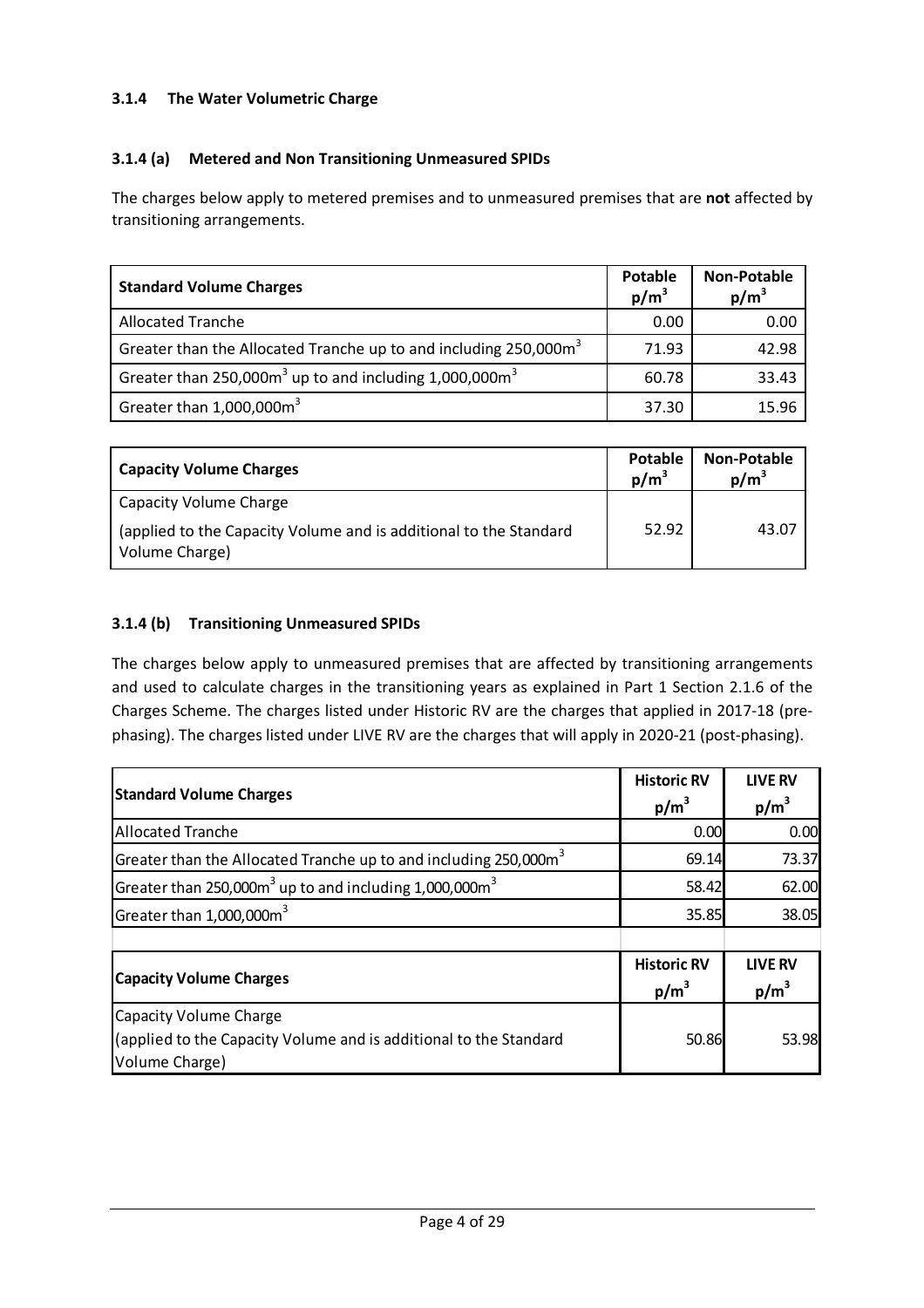#### 3.1.4 The Water Volumetric Charge

#### 3.1.4 (a) Metered and Non Transitioning Unmeasured SPIDs

The charges below apply to metered premises and to unmeasured premises that are not affected by transitioning arrangements.

| <b>Standard Volume Charges</b>                                               | <b>Potable</b><br>$p/m^3$ | <b>Non-Potable</b><br>$p/m^3$ |
|------------------------------------------------------------------------------|---------------------------|-------------------------------|
| <b>Allocated Tranche</b>                                                     | 0.00                      | 0.00                          |
| Greater than the Allocated Tranche up to and including 250,000m <sup>3</sup> | 71.93                     | 42.98                         |
| Greater than $250,000m^3$ up to and including 1,000,000 $m^3$                | 60.78                     | 33.43                         |
| Greater than 1,000,000m <sup>3</sup>                                         | 37.30                     | 15.96                         |

| <b>Capacity Volume Charges</b>                                                      |       | Non-Potable<br>$p/m^3$ |
|-------------------------------------------------------------------------------------|-------|------------------------|
| Capacity Volume Charge                                                              |       |                        |
| (applied to the Capacity Volume and is additional to the Standard<br>Volume Charge) | 52.92 | 43.07                  |

#### 3.1.4 (b) Transitioning Unmeasured SPIDs

The charges below apply to unmeasured premises that are affected by transitioning arrangements and used to calculate charges in the transitioning years as explained in Part 1 Section 2.1.6 of the Charges Scheme. The charges listed under Historic RV are the charges that applied in 2017-18 (prephasing). The charges listed under LIVE RV are the charges that will apply in 2020-21 (post-phasing).

| <b>Standard Volume Charges</b>                                                                                | <b>Historic RV</b><br>$p/m^3$ | <b>LIVE RV</b><br>$p/m^3$ |
|---------------------------------------------------------------------------------------------------------------|-------------------------------|---------------------------|
| <b>Allocated Tranche</b>                                                                                      | 0.00                          | 0.00                      |
| Greater than the Allocated Tranche up to and including 250,000 $m3$                                           | 69.14                         | 73.37                     |
| Greater than 250,000 $m3$ up to and including 1,000,000 $m3$                                                  | 58.42                         | 62.00                     |
| Greater than 1,000,000m <sup>3</sup>                                                                          | 35.85                         | 38.05                     |
| <b>Capacity Volume Charges</b>                                                                                | <b>Historic RV</b><br>$p/m^3$ | <b>LIVE RV</b><br>$p/m^3$ |
| Capacity Volume Charge<br>(applied to the Capacity Volume and is additional to the Standard<br>Volume Charge) | 50.86                         | 53.98                     |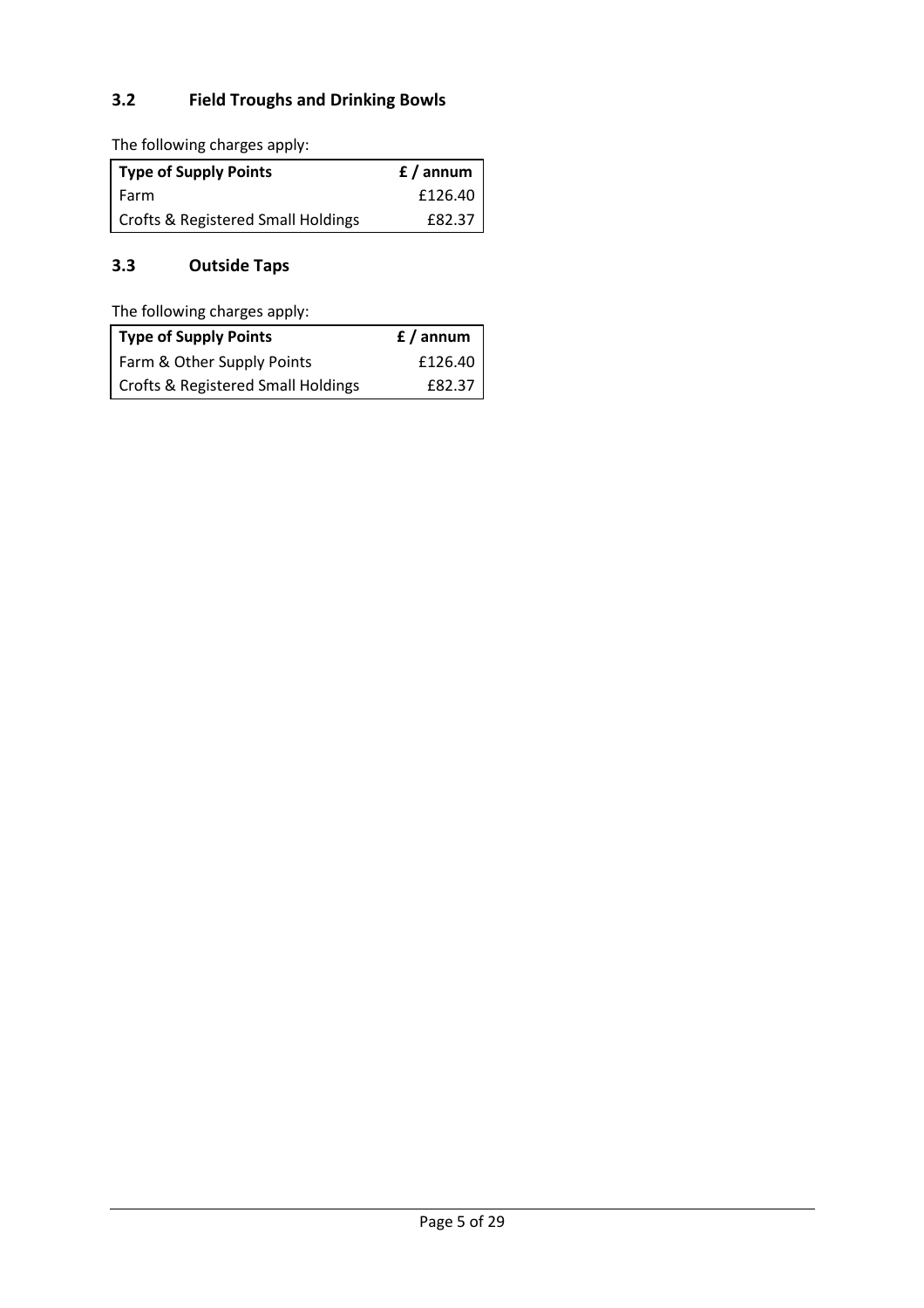## 3.2 Field Troughs and Drinking Bowls

The following charges apply:

| Type of Supply Points                         | f / annum |
|-----------------------------------------------|-----------|
| l Farm                                        | £126.40   |
| <b>Crofts &amp; Registered Small Holdings</b> | £82.37    |

## 3.3 Outside Taps

The following charges apply:

| Type of Supply Points                         | f / annum |
|-----------------------------------------------|-----------|
| Farm & Other Supply Points                    | £126.40   |
| <b>Crofts &amp; Registered Small Holdings</b> | £82.37    |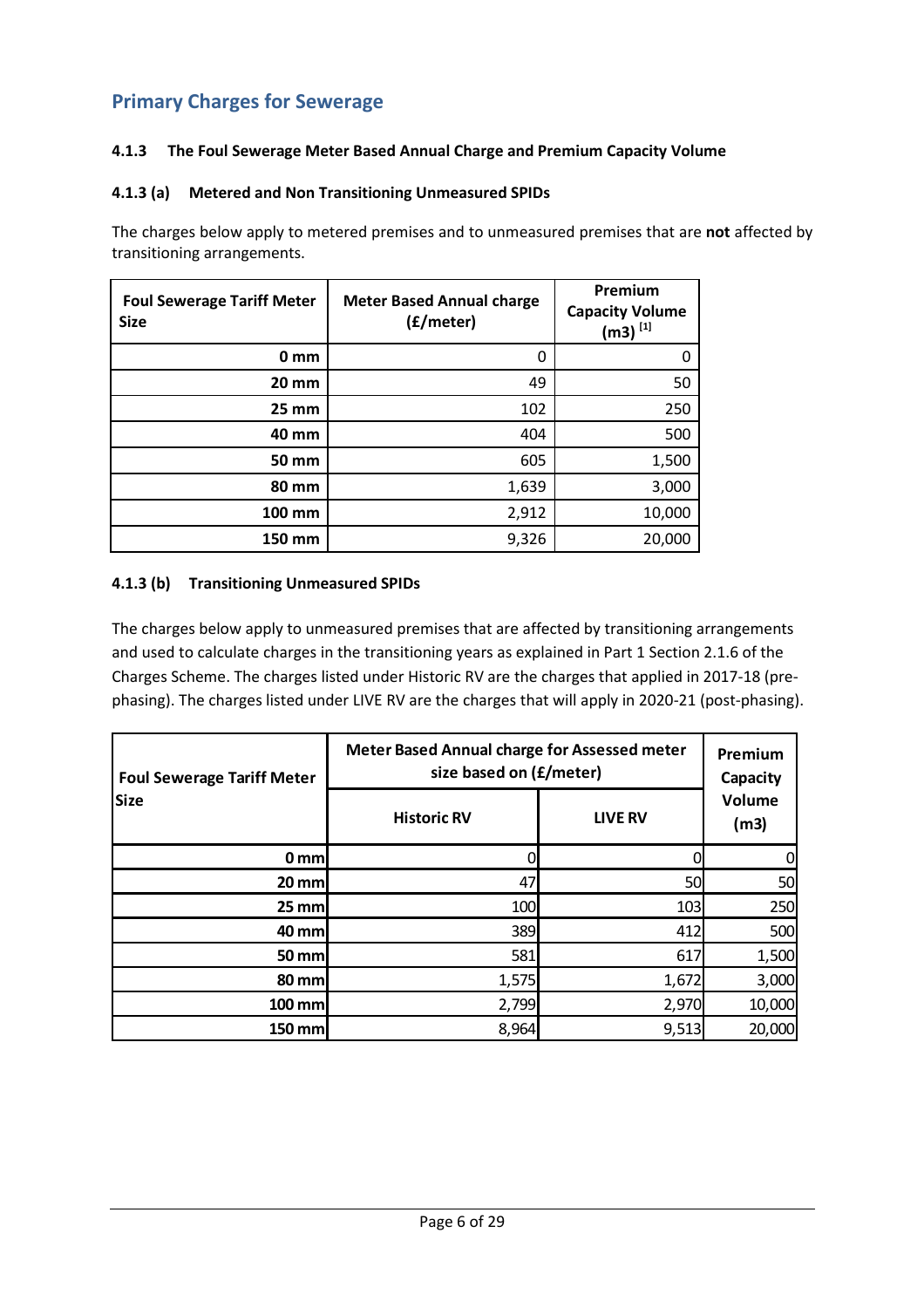## Primary Charges for Sewerage

#### 4.1.3 The Foul Sewerage Meter Based Annual Charge and Premium Capacity Volume

#### 4.1.3 (a) Metered and Non Transitioning Unmeasured SPIDs

The charges below apply to metered premises and to unmeasured premises that are not affected by transitioning arrangements.

| <b>Foul Sewerage Tariff Meter</b><br><b>Size</b> | <b>Meter Based Annual charge</b><br>(£/meter) | Premium<br><b>Capacity Volume</b><br>$(m3)^{[1]}$ |
|--------------------------------------------------|-----------------------------------------------|---------------------------------------------------|
| 0 <sub>mm</sub>                                  | 0                                             | 0                                                 |
| $20 \, \text{mm}$                                | 49                                            | 50                                                |
| <b>25 mm</b>                                     | 102                                           | 250                                               |
| 40 mm                                            | 404                                           | 500                                               |
| 50 mm                                            | 605                                           | 1,500                                             |
| <b>80 mm</b>                                     | 1,639                                         | 3,000                                             |
| 100 mm                                           | 2,912                                         | 10,000                                            |
| 150 mm                                           | 9,326                                         | 20,000                                            |

#### 4.1.3 (b) Transitioning Unmeasured SPIDs

The charges below apply to unmeasured premises that are affected by transitioning arrangements and used to calculate charges in the transitioning years as explained in Part 1 Section 2.1.6 of the Charges Scheme. The charges listed under Historic RV are the charges that applied in 2017-18 (prephasing). The charges listed under LIVE RV are the charges that will apply in 2020-21 (post-phasing).

| <b>Foul Sewerage Tariff Meter</b> | Meter Based Annual charge for Assessed meter<br>size based on (£/meter) |                | Premium<br>Capacity |
|-----------------------------------|-------------------------------------------------------------------------|----------------|---------------------|
| <b>Size</b>                       | <b>Historic RV</b>                                                      | <b>LIVE RV</b> | Volume<br>(m3)      |
| 0 <sub>mm</sub>                   |                                                                         |                | 0                   |
| $20$ mm                           | 47                                                                      | 50             | 50                  |
| <b>25 mm</b>                      | 100                                                                     | 103            | 250                 |
| 40 mm                             | 389                                                                     | 412            | 500                 |
| 50 mm                             | 581                                                                     | 617            | 1,500               |
| <b>80 mm</b>                      | 1,575                                                                   | 1,672          | 3,000               |
| 100 mm                            | 2,799                                                                   | 2,970          | 10,000              |
| 150 mm                            | 8,964                                                                   | 9,513          | 20,000              |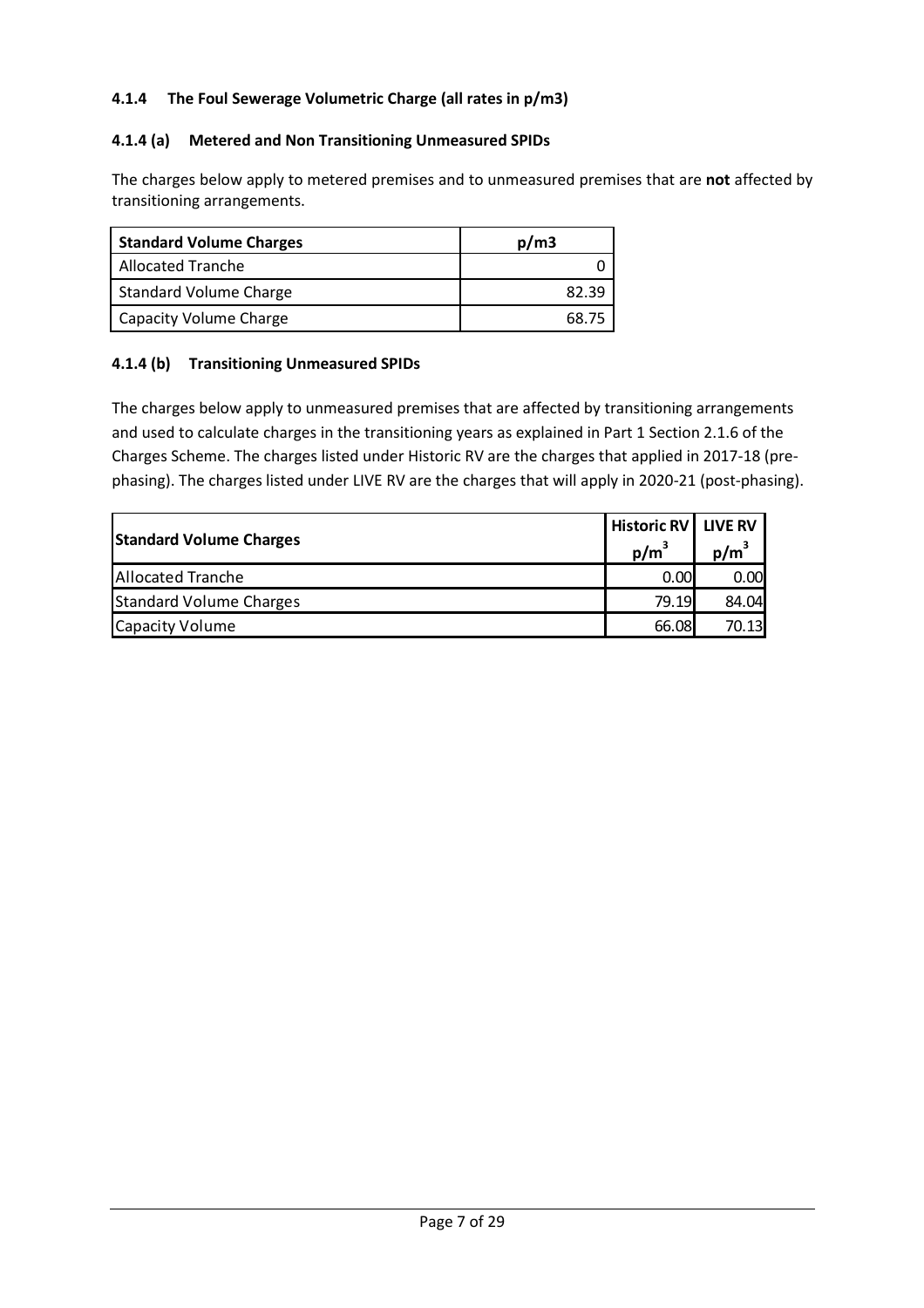### 4.1.4 The Foul Sewerage Volumetric Charge (all rates in p/m3)

#### 4.1.4 (a) Metered and Non Transitioning Unmeasured SPIDs

The charges below apply to metered premises and to unmeasured premises that are not affected by transitioning arrangements.

| <b>Standard Volume Charges</b> | p/m3  |
|--------------------------------|-------|
| <b>Allocated Tranche</b>       |       |
| <b>Standard Volume Charge</b>  | 82.39 |
| <b>Capacity Volume Charge</b>  | 68.75 |

#### 4.1.4 (b) Transitioning Unmeasured SPIDs

The charges below apply to unmeasured premises that are affected by transitioning arrangements and used to calculate charges in the transitioning years as explained in Part 1 Section 2.1.6 of the Charges Scheme. The charges listed under Historic RV are the charges that applied in 2017-18 (prephasing). The charges listed under LIVE RV are the charges that will apply in 2020-21 (post-phasing).

| <b>Standard Volume Charges</b> | Historic RV   LIVE RV<br>$p/m^3$ | p/m   |
|--------------------------------|----------------------------------|-------|
| <b>Allocated Tranche</b>       | 0.00                             | 0.00  |
| <b>Standard Volume Charges</b> | 79.19                            | 84.04 |
| <b>Capacity Volume</b>         | 66.08                            | 70.13 |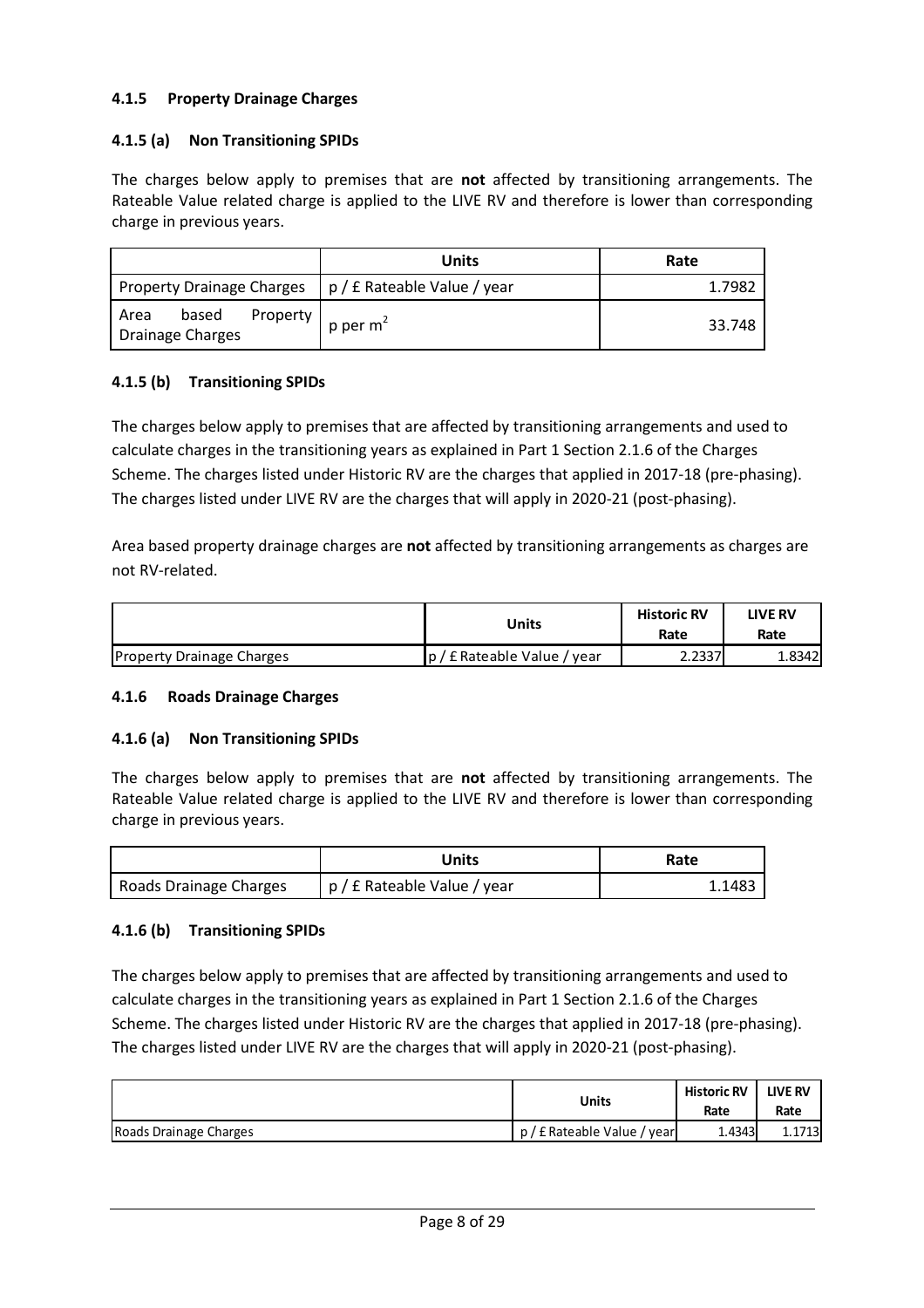#### 4.1.5 Property Drainage Charges

#### 4.1.5 (a) Non Transitioning SPIDs

The charges below apply to premises that are not affected by transitioning arrangements. The Rateable Value related charge is applied to the LIVE RV and therefore is lower than corresponding charge in previous years.

|                                               | <b>Units</b>                | Rate   |
|-----------------------------------------------|-----------------------------|--------|
| <b>Property Drainage Charges</b>              | p / £ Rateable Value / year | 1.7982 |
| based<br>Property<br>Area<br>Drainage Charges | $p$ per $m2$                | 33.748 |

#### 4.1.5 (b) Transitioning SPIDs

The charges below apply to premises that are affected by transitioning arrangements and used to calculate charges in the transitioning years as explained in Part 1 Section 2.1.6 of the Charges Scheme. The charges listed under Historic RV are the charges that applied in 2017-18 (pre-phasing). The charges listed under LIVE RV are the charges that will apply in 2020-21 (post-phasing).

Area based property drainage charges are not affected by transitioning arrangements as charges are not RV-related.

|                                  | Units                       | <b>Historic RV</b><br>Rate | <b>LIVE RV</b><br>Rate |
|----------------------------------|-----------------------------|----------------------------|------------------------|
| <b>Property Drainage Charges</b> | J / £ Rateable Value / year | 2.2337                     | 1.8342                 |

#### 4.1.6 Roads Drainage Charges

#### 4.1.6 (a) Non Transitioning SPIDs

The charges below apply to premises that are not affected by transitioning arrangements. The Rateable Value related charge is applied to the LIVE RV and therefore is lower than corresponding charge in previous years.

|                        | Units                       | Rate   |
|------------------------|-----------------------------|--------|
| Roads Drainage Charges | p / £ Rateable Value / year | 1.1483 |

#### 4.1.6 (b) Transitioning SPIDs

The charges below apply to premises that are affected by transitioning arrangements and used to calculate charges in the transitioning years as explained in Part 1 Section 2.1.6 of the Charges Scheme. The charges listed under Historic RV are the charges that applied in 2017-18 (pre-phasing). The charges listed under LIVE RV are the charges that will apply in 2020-21 (post-phasing).

|                        | Units                     | <b>Historic RV</b><br>Rate | <b>LIVE RV</b><br>Rate |
|------------------------|---------------------------|----------------------------|------------------------|
| Roads Drainage Charges | / £ Rateable Value / year | 1.4343                     | 1.1713                 |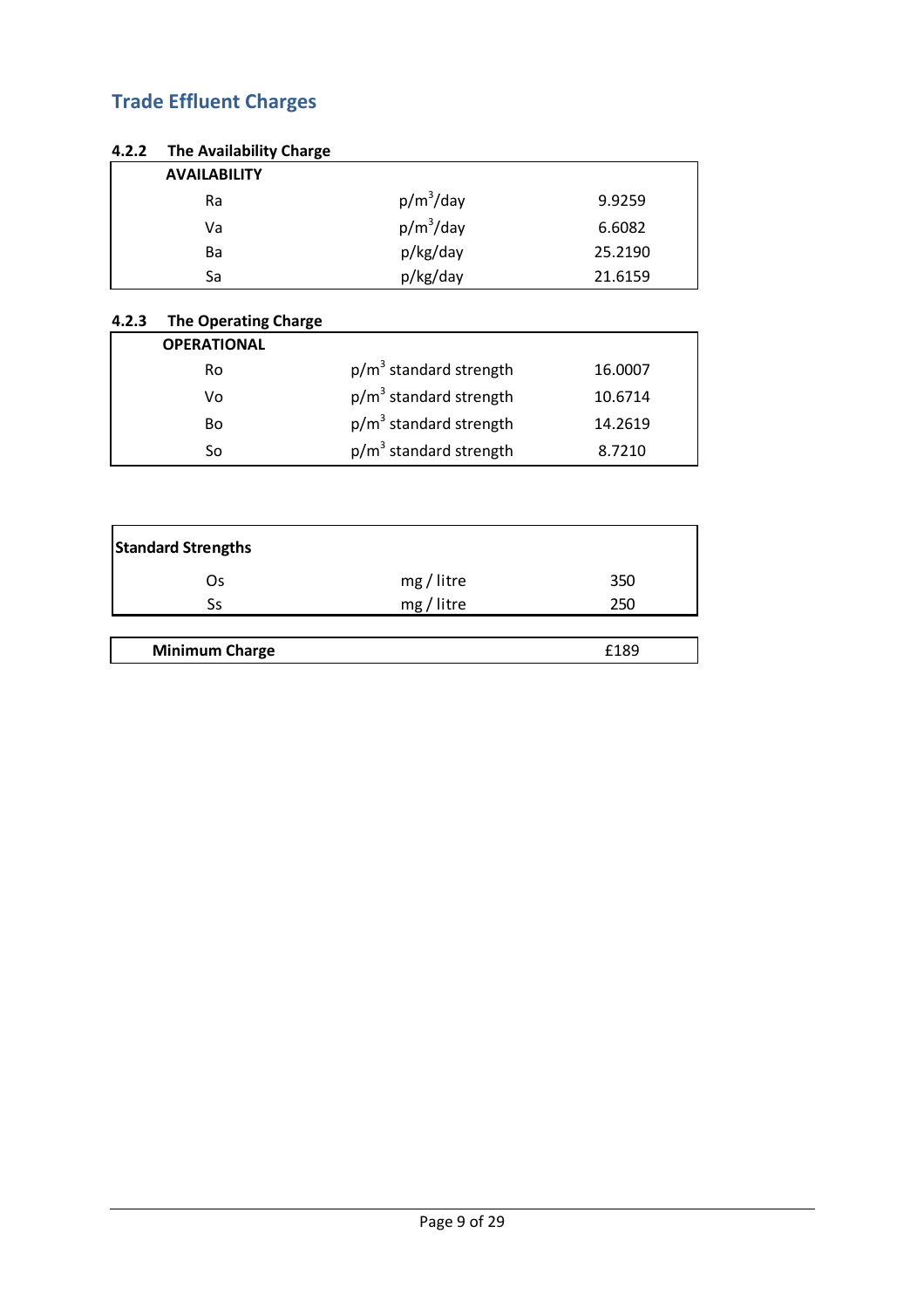# Trade Effluent Charges

#### 4.2.2 The Availability Charge

| .                   |              |         |
|---------------------|--------------|---------|
| <b>AVAILABILITY</b> |              |         |
| Ra                  | $p/m^3$ /day | 9.9259  |
| Va                  | $p/m^3$ /day | 6.6082  |
| Ba                  | p/kg/day     | 25.2190 |
| Sa                  | p/kg/day     | 21.6159 |

#### 4.2.3 The Operating Charge

| <b>OPERATIONAL</b> |                          |         |
|--------------------|--------------------------|---------|
| Ro                 | $p/m3$ standard strength | 16.0007 |
| V٥                 | $p/m3$ standard strength | 10.6714 |
| Bo                 | $p/m3$ standard strength | 14.2619 |
| S٥                 | $p/m3$ standard strength | 8.7210  |

| <b>Standard Strengths</b> |            |      |
|---------------------------|------------|------|
| Os                        | mg / litre | 350  |
| Ss                        | mg / litre | 250  |
|                           |            |      |
| <b>Minimum Charge</b>     |            | £189 |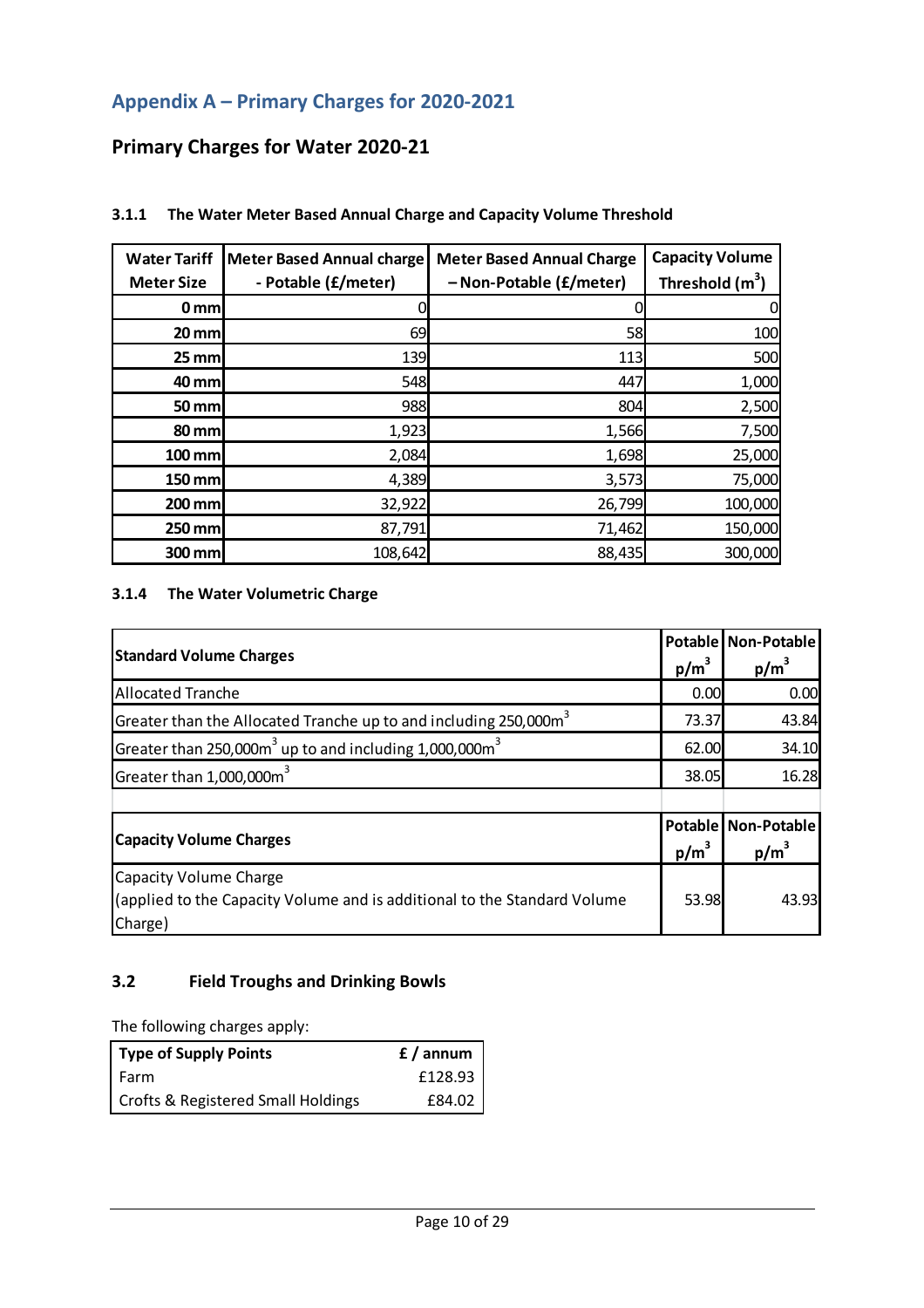## Appendix A – Primary Charges for 2020-2021

## Primary Charges for Water 2020-21

| <b>Water Tariff</b><br><b>Meter Size</b> | Meter Based Annual charge<br>- Potable (£/meter) | <b>Meter Based Annual Charge</b><br>-Non-Potable (£/meter) | <b>Capacity Volume</b><br>Threshold $(m3)$ |
|------------------------------------------|--------------------------------------------------|------------------------------------------------------------|--------------------------------------------|
| 0 <sub>mm</sub>                          |                                                  |                                                            | 0                                          |
| $20$ mm                                  | 69                                               | 58                                                         | 100                                        |
| $25$ mm                                  | 139                                              | 113                                                        | 500                                        |
| 40 mm                                    | 548                                              | 447                                                        | 1,000                                      |
| 50 mm                                    | 988                                              | 804                                                        | 2,500                                      |
| 80 mm                                    | 1,923                                            | 1,566                                                      | 7,500                                      |
| 100 mm                                   | 2,084                                            | 1,698                                                      | 25,000                                     |
| 150 mm                                   | 4,389                                            | 3,573                                                      | 75,000                                     |
| 200 mm                                   | 32,922                                           | 26,799                                                     | 100,000                                    |
| 250 mm                                   | 87,791                                           | 71,462                                                     | 150,000                                    |
| 300 mm                                   | 108,642                                          | 88,435                                                     | 300,000                                    |

#### 3.1.1 The Water Meter Based Annual Charge and Capacity Volume Threshold

#### 3.1.4 The Water Volumetric Charge

| <b>Standard Volume Charges</b>                                                 |         | <b>Potable Non-Potable</b> |
|--------------------------------------------------------------------------------|---------|----------------------------|
|                                                                                |         | $p/m^3$                    |
| <b>Allocated Tranche</b>                                                       | 0.00    | 0.00                       |
| Greater than the Allocated Tranche up to and including 250,000m <sup>3</sup>   | 73.37   | 43.84                      |
| Greater than 250,000m <sup>3</sup> up to and including 1,000,000m <sup>3</sup> | 62.00   | 34.10                      |
| Greater than 1,000,000m <sup>3</sup>                                           | 38.05   | 16.28                      |
|                                                                                |         |                            |
|                                                                                |         | <b>Potable Non-Potable</b> |
| <b>Capacity Volume Charges</b>                                                 | $p/m^3$ | $p/m^3$                    |
| <b>Capacity Volume Charge</b>                                                  |         |                            |
| (applied to the Capacity Volume and is additional to the Standard Volume       | 53.98   | 43.93                      |
| Charge)                                                                        |         |                            |

## 3.2 Field Troughs and Drinking Bowls

The following charges apply:

| Type of Supply Points                         | f / annum |
|-----------------------------------------------|-----------|
| l Farm                                        | £128.93   |
| <b>Crofts &amp; Registered Small Holdings</b> | £84.02    |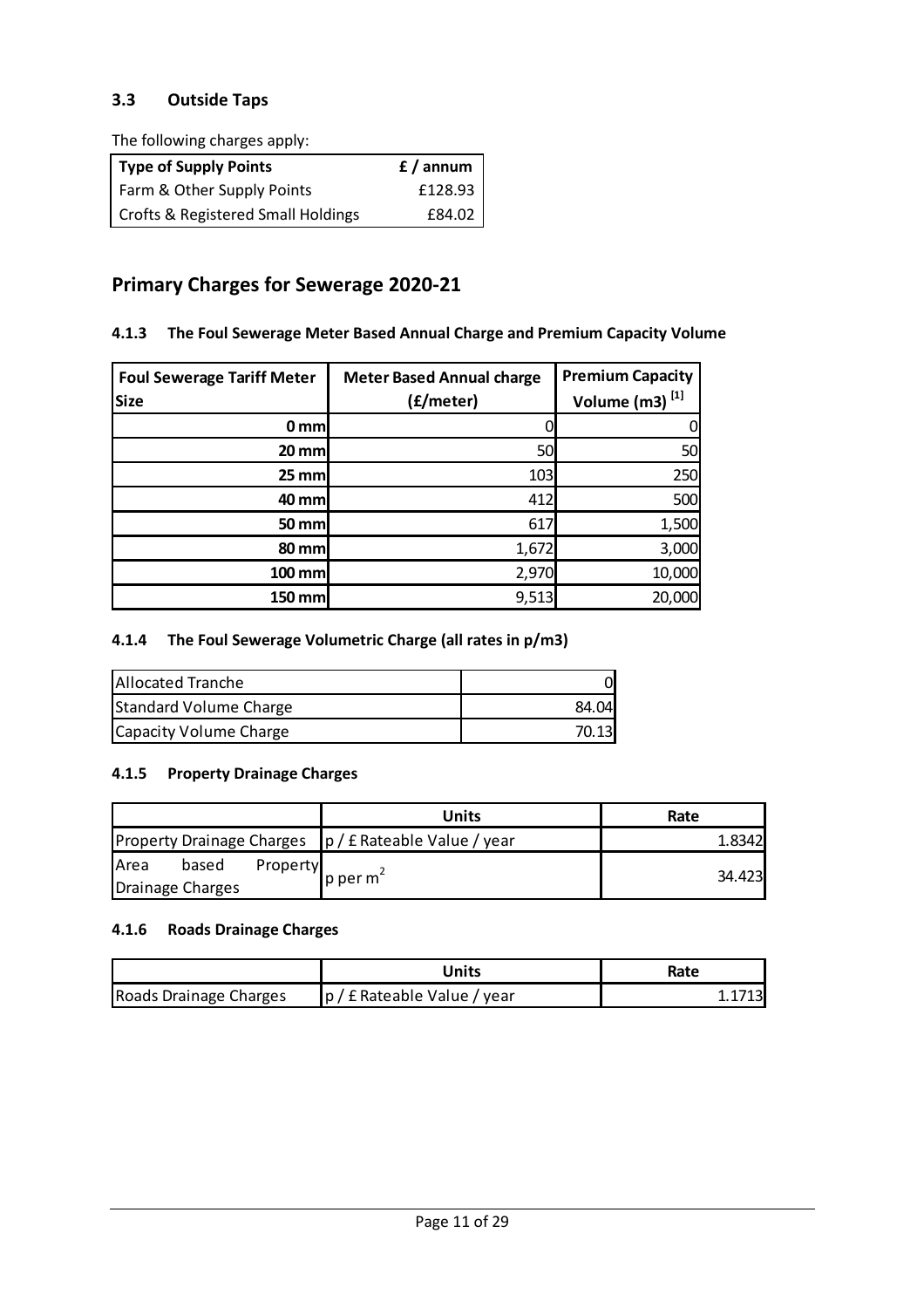#### 3.3 Outside Taps

The following charges apply:

| Type of Supply Points                         | $f /$ annum |
|-----------------------------------------------|-------------|
| Farm & Other Supply Points                    | £128.93     |
| <b>Crofts &amp; Registered Small Holdings</b> | £84.02      |

## Primary Charges for Sewerage 2020-21

#### 4.1.3 The Foul Sewerage Meter Based Annual Charge and Premium Capacity Volume

| <b>Foul Sewerage Tariff Meter</b><br><b>Size</b> | <b>Meter Based Annual charge</b><br>(£/meter) | <b>Premium Capacity</b><br>Volume (m3) <sup>[1]</sup> |
|--------------------------------------------------|-----------------------------------------------|-------------------------------------------------------|
| $0 \text{ mm}$                                   |                                               |                                                       |
| $20 \, \text{mm}$                                | 50                                            | 50                                                    |
| $25$ mm                                          | 103                                           | 250                                                   |
| 40 mm                                            | 412                                           | 500                                                   |
| 50 mm                                            | 617                                           | 1,500                                                 |
| 80 mm                                            | 1,672                                         | 3,000                                                 |
| $100$ mm                                         | 2,970                                         | 10,000                                                |
| 150 mm                                           | 9,513                                         | 20,000                                                |

#### 4.1.4 The Foul Sewerage Volumetric Charge (all rates in p/m3)

| Allocated Tranche      |       |
|------------------------|-------|
| Standard Volume Charge | 84.04 |
| Capacity Volume Charge | 70.13 |

#### 4.1.5 Property Drainage Charges

|      |                           |          | <b>Units</b>                                            | Rate   |
|------|---------------------------|----------|---------------------------------------------------------|--------|
|      |                           |          | Property Drainage Charges   p / £ Rateable Value / year | 1.8342 |
| Area | based<br>Drainage Charges | Property | $p$ per m <sup>2</sup>                                  | 34.423 |

#### 4.1.6 Roads Drainage Charges

|                        | Units                         | Rate |
|------------------------|-------------------------------|------|
| Roads Drainage Charges | $p / f$ Rateable Value / year |      |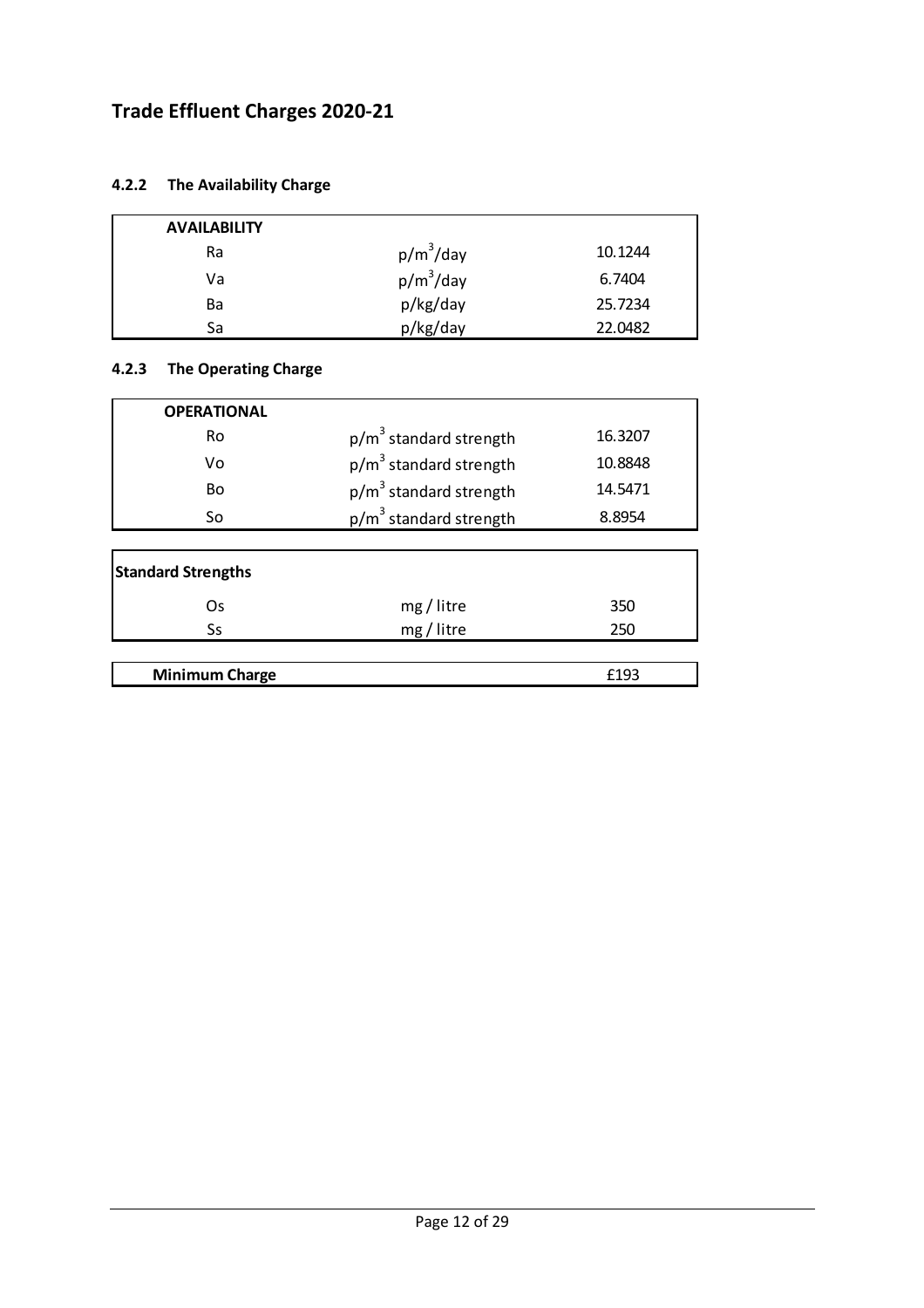## Trade Effluent Charges 2020-21

## 4.2.2 The Availability Charge

| <b>AVAILABILITY</b> |                       |         |
|---------------------|-----------------------|---------|
| Ra                  | p/m <sup>3</sup> /day | 10.1244 |
| Va                  | $p/m^3$ /day          | 6.7404  |
| Ba                  | p/kg/day              | 25.7234 |
| Sa                  | p/kg/day              | 22.0482 |

## 4.2.3 The Operating Charge

| <b>OPERATIONAL</b> |                          |         |
|--------------------|--------------------------|---------|
| Ro                 | $p/m3$ standard strength | 16.3207 |
| ۷o                 | $p/m3$ standard strength | 10.8848 |
| Bo                 | $p/m3$ standard strength | 14.5471 |
| So                 | $p/m3$ standard strength | 8.8954  |

| <b>Standard Strengths</b> |            |      |  |  |  |  |
|---------------------------|------------|------|--|--|--|--|
| Os                        | mg / litre | 350  |  |  |  |  |
| Ss                        | mg / litre | 250  |  |  |  |  |
|                           |            |      |  |  |  |  |
| <b>Minimum Charge</b>     |            | f193 |  |  |  |  |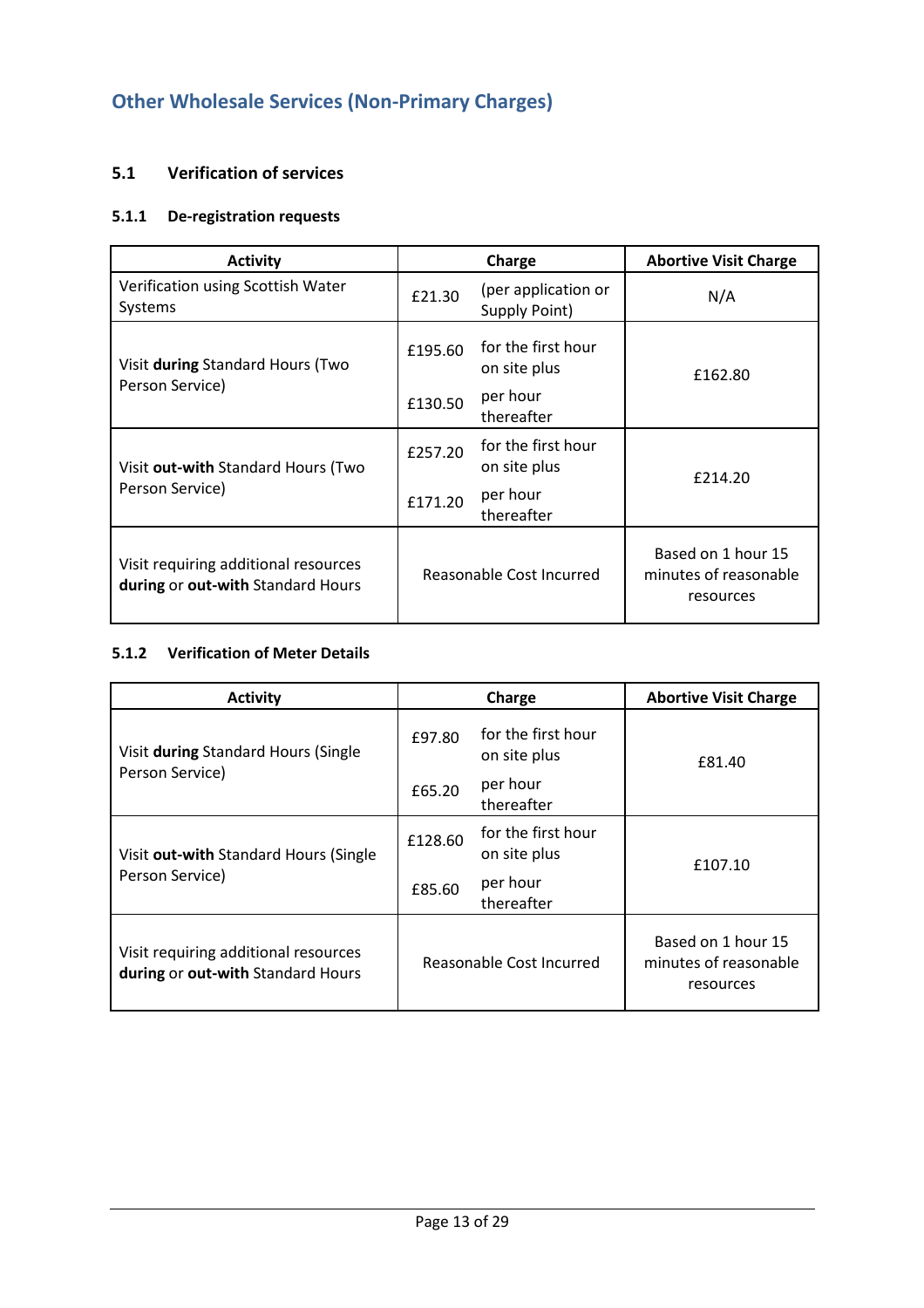## Other Wholesale Services (Non-Primary Charges)

### 5.1 Verification of services

### 5.1.1 De-registration requests

| <b>Activity</b>                                                           | Charge                                        |                                      | <b>Abortive Visit Charge</b>                             |  |
|---------------------------------------------------------------------------|-----------------------------------------------|--------------------------------------|----------------------------------------------------------|--|
| Verification using Scottish Water<br>Systems                              | £21.30                                        | (per application or<br>Supply Point) | N/A                                                      |  |
| Visit during Standard Hours (Two                                          | £195.60                                       | for the first hour<br>on site plus   | £162.80                                                  |  |
| Person Service)                                                           | £130.50                                       | per hour<br>thereafter               |                                                          |  |
| Visit out-with Standard Hours (Two                                        | for the first hour<br>£257.20<br>on site plus |                                      | £214.20                                                  |  |
| Person Service)                                                           | £171.20                                       | per hour<br>thereafter               |                                                          |  |
| Visit requiring additional resources<br>during or out-with Standard Hours | Reasonable Cost Incurred                      |                                      | Based on 1 hour 15<br>minutes of reasonable<br>resources |  |

#### 5.1.2 Verification of Meter Details

| <b>Activity</b>                                                           | Charge                   |                                    | <b>Abortive Visit Charge</b>                             |  |
|---------------------------------------------------------------------------|--------------------------|------------------------------------|----------------------------------------------------------|--|
| Visit during Standard Hours (Single                                       | £97.80                   | for the first hour<br>on site plus | £81.40                                                   |  |
| Person Service)                                                           | £65.20                   | per hour<br>thereafter             |                                                          |  |
| Visit out-with Standard Hours (Single                                     | £128.60                  | for the first hour<br>on site plus | £107.10                                                  |  |
| Person Service)                                                           | £85.60                   | per hour<br>thereafter             |                                                          |  |
| Visit requiring additional resources<br>during or out-with Standard Hours | Reasonable Cost Incurred |                                    | Based on 1 hour 15<br>minutes of reasonable<br>resources |  |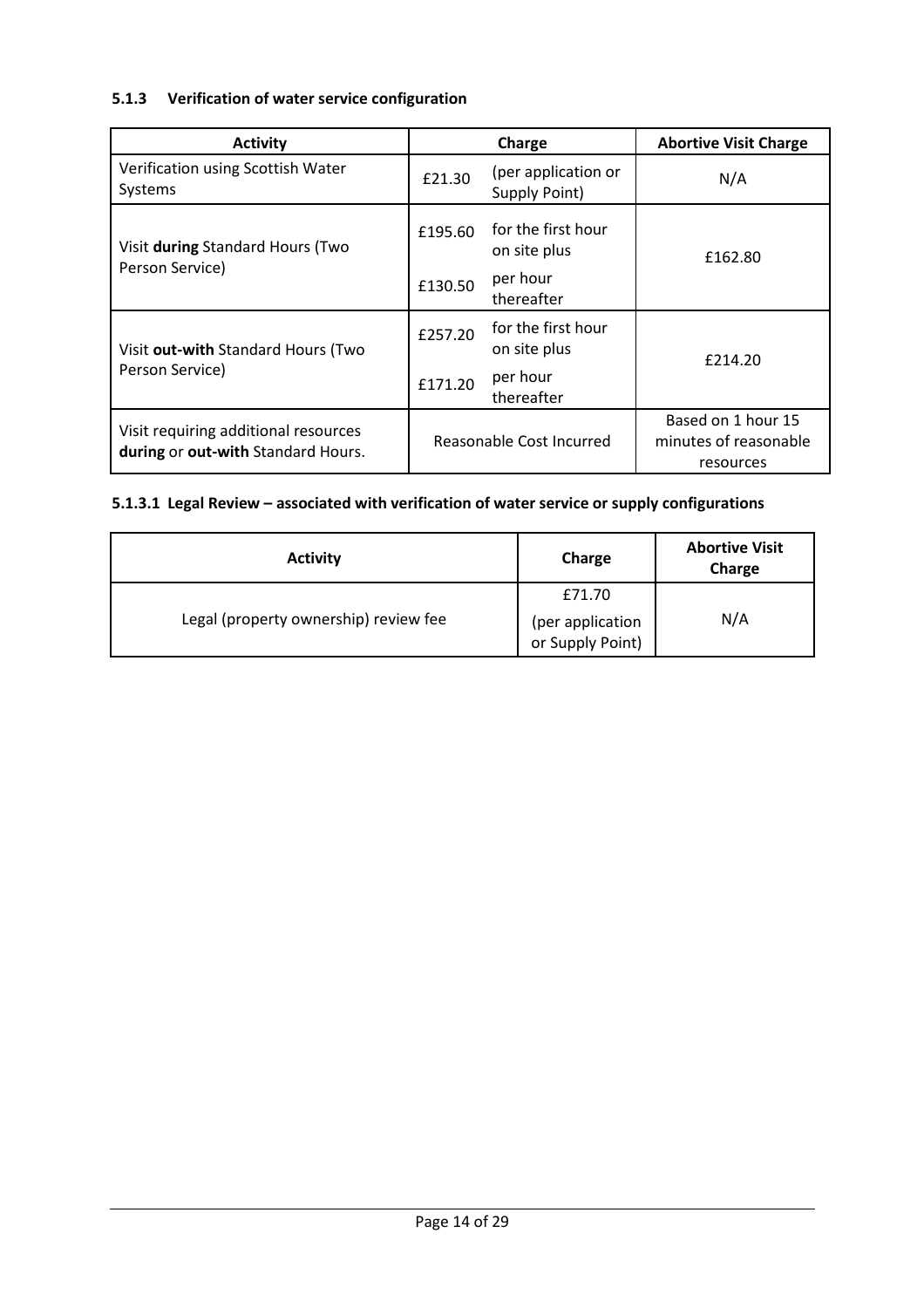## 5.1.3 Verification of water service configuration

| <b>Activity</b>                                                            | Charge                   |                                      | <b>Abortive Visit Charge</b>                             |  |
|----------------------------------------------------------------------------|--------------------------|--------------------------------------|----------------------------------------------------------|--|
| Verification using Scottish Water<br>Systems                               | £21.30                   | (per application or<br>Supply Point) | N/A                                                      |  |
| Visit during Standard Hours (Two                                           | £195.60                  | for the first hour<br>on site plus   | £162.80                                                  |  |
| Person Service)                                                            | £130.50                  | per hour<br>thereafter               |                                                          |  |
| Visit out-with Standard Hours (Two                                         | £257.20                  | for the first hour<br>on site plus   | £214.20                                                  |  |
| Person Service)                                                            | £171.20                  | per hour<br>thereafter               |                                                          |  |
| Visit requiring additional resources<br>during or out-with Standard Hours. | Reasonable Cost Incurred |                                      | Based on 1 hour 15<br>minutes of reasonable<br>resources |  |

## 5.1.3.1 Legal Review – associated with verification of water service or supply configurations

| <b>Activity</b>                       | Charge                                         | <b>Abortive Visit</b><br>Charge |
|---------------------------------------|------------------------------------------------|---------------------------------|
| Legal (property ownership) review fee | £71.70<br>(per application<br>or Supply Point) | N/A                             |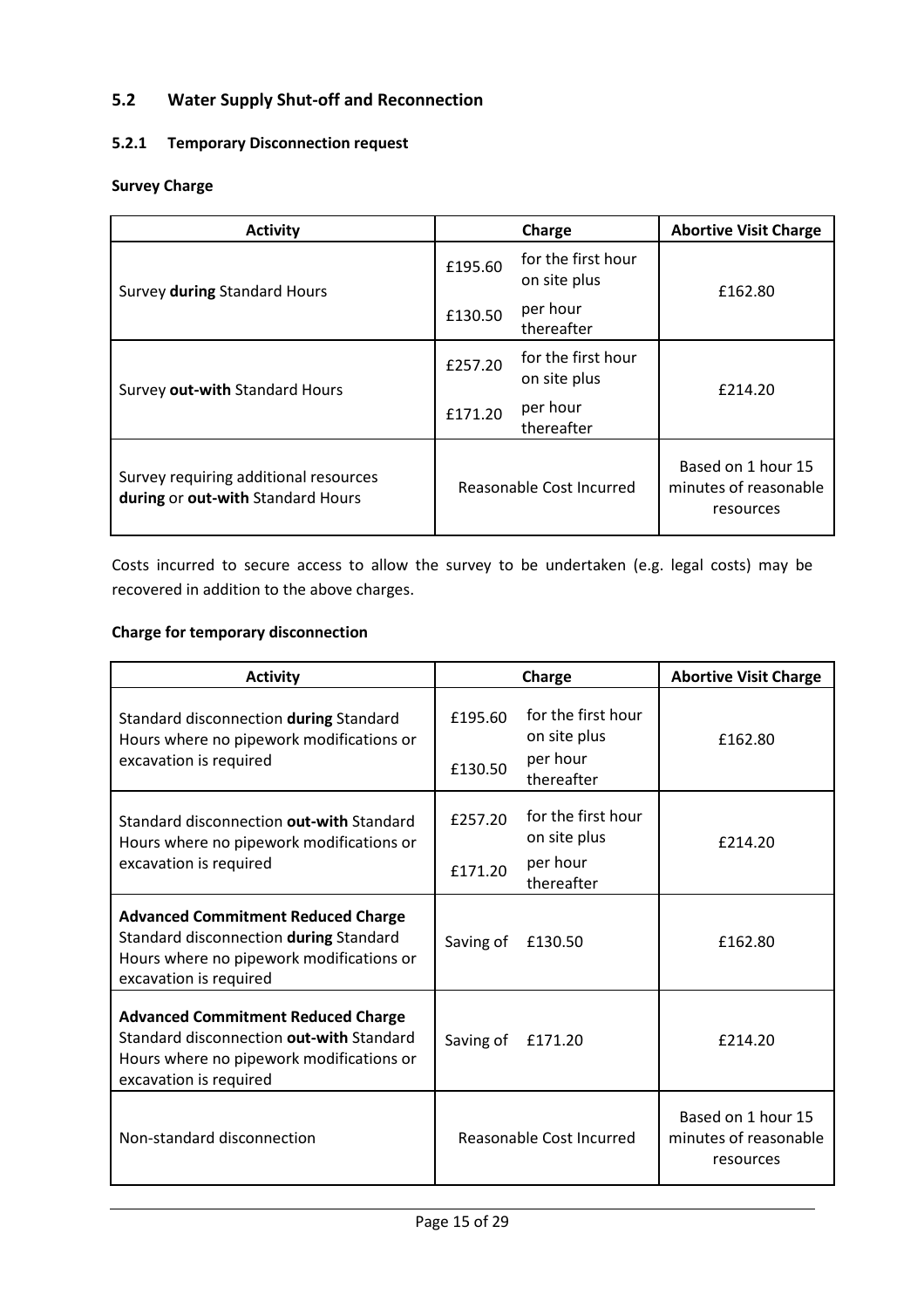### 5.2 Water Supply Shut-off and Reconnection

#### 5.2.1 Temporary Disconnection request

#### Survey Charge

| <b>Activity</b>                                                            |         | Charge                             | <b>Abortive Visit Charge</b>                             |
|----------------------------------------------------------------------------|---------|------------------------------------|----------------------------------------------------------|
| Survey during Standard Hours                                               | £195.60 | for the first hour<br>on site plus | £162.80                                                  |
|                                                                            | £130.50 | per hour<br>thereafter             |                                                          |
| Survey out-with Standard Hours                                             | £257.20 | for the first hour<br>on site plus | £214.20                                                  |
|                                                                            | £171.20 | per hour<br>thereafter             |                                                          |
| Survey requiring additional resources<br>during or out-with Standard Hours |         | Reasonable Cost Incurred           | Based on 1 hour 15<br>minutes of reasonable<br>resources |

Costs incurred to secure access to allow the survey to be undertaken (e.g. legal costs) may be recovered in addition to the above charges.

#### Charge for temporary disconnection

| <b>Activity</b>                                                                                                                                             | Charge                                                                             | <b>Abortive Visit Charge</b>                             |
|-------------------------------------------------------------------------------------------------------------------------------------------------------------|------------------------------------------------------------------------------------|----------------------------------------------------------|
| Standard disconnection during Standard<br>Hours where no pipework modifications or<br>excavation is required                                                | for the first hour<br>£195.60<br>on site plus<br>per hour<br>£130.50<br>thereafter | £162.80                                                  |
| Standard disconnection out-with Standard<br>Hours where no pipework modifications or<br>excavation is required                                              | for the first hour<br>£257.20<br>on site plus<br>per hour<br>£171.20<br>thereafter | £214.20                                                  |
| <b>Advanced Commitment Reduced Charge</b><br>Standard disconnection during Standard<br>Hours where no pipework modifications or<br>excavation is required   | Saving of<br>£130.50                                                               | £162.80                                                  |
| <b>Advanced Commitment Reduced Charge</b><br>Standard disconnection out-with Standard<br>Hours where no pipework modifications or<br>excavation is required | Saving of<br>£171.20                                                               | £214.20                                                  |
| Non-standard disconnection                                                                                                                                  | Reasonable Cost Incurred                                                           | Based on 1 hour 15<br>minutes of reasonable<br>resources |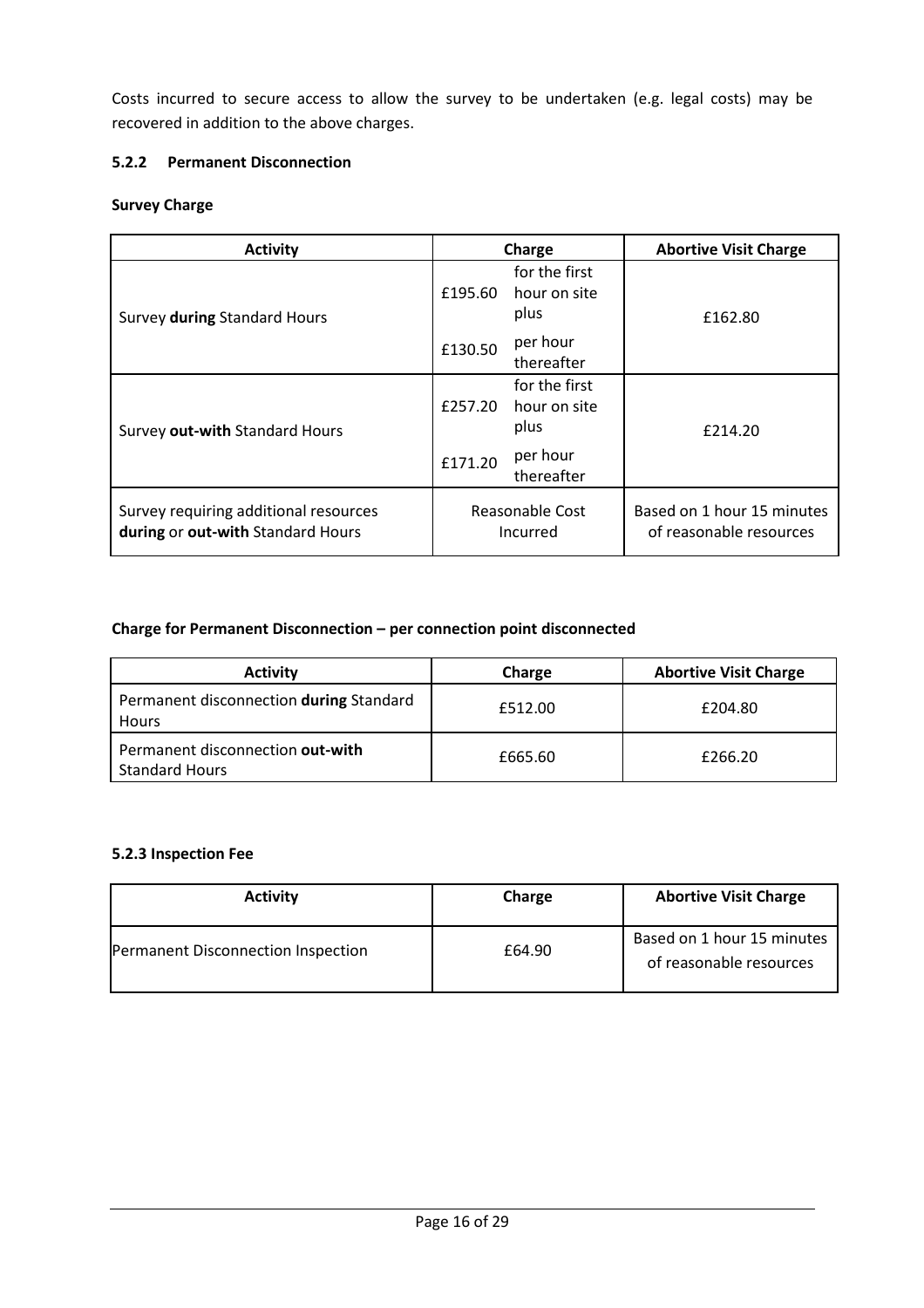Costs incurred to secure access to allow the survey to be undertaken (e.g. legal costs) may be recovered in addition to the above charges.

#### 5.2.2 Permanent Disconnection

#### Survey Charge

| <b>Activity</b>                                                            | Charge  |                                       | <b>Abortive Visit Charge</b>                          |
|----------------------------------------------------------------------------|---------|---------------------------------------|-------------------------------------------------------|
| Survey during Standard Hours                                               | £195.60 | for the first<br>hour on site<br>plus | £162.80                                               |
|                                                                            | £130.50 | per hour<br>thereafter                |                                                       |
| Survey out-with Standard Hours                                             | £257.20 | for the first<br>hour on site<br>plus | £214.20                                               |
|                                                                            | £171.20 | per hour<br>thereafter                |                                                       |
| Survey requiring additional resources<br>during or out-with Standard Hours |         | Reasonable Cost<br>Incurred           | Based on 1 hour 15 minutes<br>of reasonable resources |

### Charge for Permanent Disconnection – per connection point disconnected

| <b>Activity</b>                                           | Charge  | <b>Abortive Visit Charge</b> |
|-----------------------------------------------------------|---------|------------------------------|
| Permanent disconnection during Standard<br><b>Hours</b>   | £512.00 | £204.80                      |
| Permanent disconnection out-with<br><b>Standard Hours</b> | £665.60 | £266.20                      |

#### 5.2.3 Inspection Fee

| <b>Activity</b>                    | Charge | <b>Abortive Visit Charge</b>                          |
|------------------------------------|--------|-------------------------------------------------------|
| Permanent Disconnection Inspection | £64.90 | Based on 1 hour 15 minutes<br>of reasonable resources |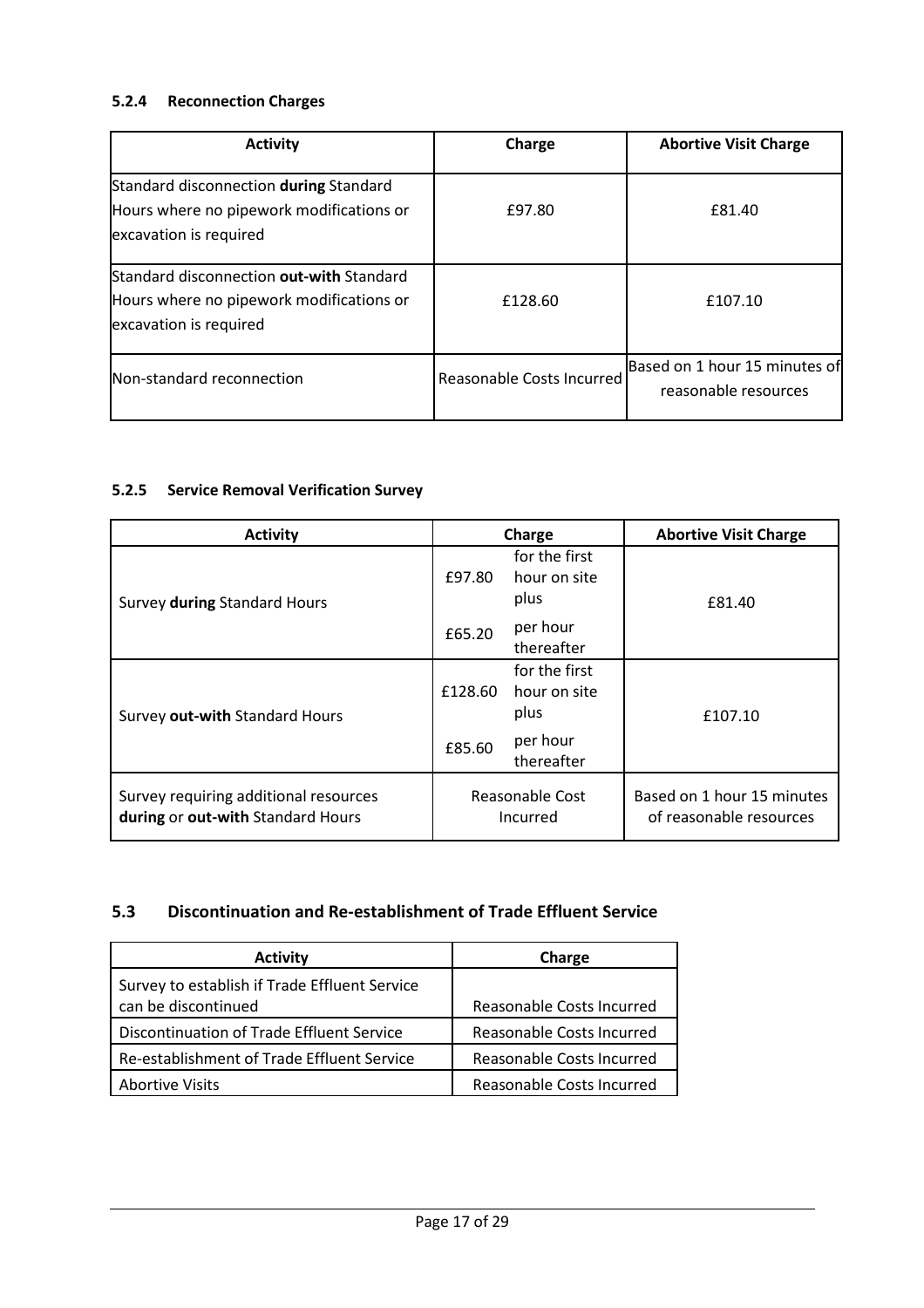### 5.2.4 Reconnection Charges

| <b>Activity</b>                                                                                                | Charge                    | <b>Abortive Visit Charge</b>                          |
|----------------------------------------------------------------------------------------------------------------|---------------------------|-------------------------------------------------------|
| Standard disconnection during Standard<br>Hours where no pipework modifications or<br>excavation is required   | £97.80                    | £81.40                                                |
| Standard disconnection out-with Standard<br>Hours where no pipework modifications or<br>excavation is required | £128.60                   | £107.10                                               |
| Non-standard reconnection                                                                                      | Reasonable Costs Incurred | Based on 1 hour 15 minutes of<br>reasonable resources |

### 5.2.5 Service Removal Verification Survey

| <b>Activity</b>                                                            |         | Charge                                | <b>Abortive Visit Charge</b>                          |
|----------------------------------------------------------------------------|---------|---------------------------------------|-------------------------------------------------------|
| Survey during Standard Hours                                               | £97.80  | for the first<br>hour on site<br>plus | £81.40                                                |
|                                                                            | £65.20  | per hour<br>thereafter                |                                                       |
| Survey out-with Standard Hours                                             | £128.60 | for the first<br>hour on site<br>plus | £107.10                                               |
|                                                                            | £85.60  | per hour<br>thereafter                |                                                       |
| Survey requiring additional resources<br>during or out-with Standard Hours |         | Reasonable Cost<br>Incurred           | Based on 1 hour 15 minutes<br>of reasonable resources |

## 5.3 Discontinuation and Re-establishment of Trade Effluent Service

| <b>Activity</b>                               | Charge                    |
|-----------------------------------------------|---------------------------|
| Survey to establish if Trade Effluent Service |                           |
| can be discontinued                           | Reasonable Costs Incurred |
| Discontinuation of Trade Effluent Service     | Reasonable Costs Incurred |
| Re-establishment of Trade Effluent Service    | Reasonable Costs Incurred |
| <b>Abortive Visits</b>                        | Reasonable Costs Incurred |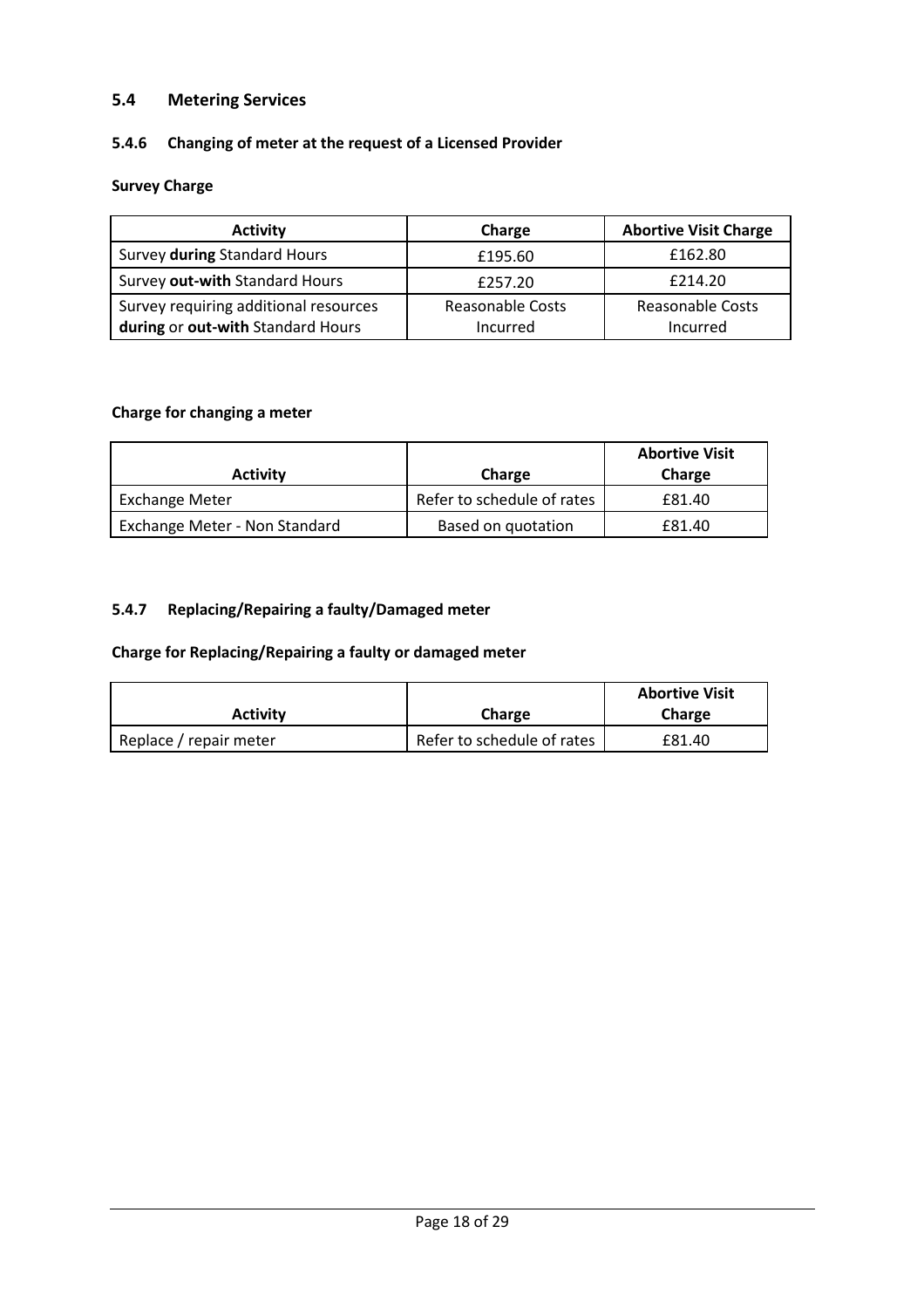## 5.4 Metering Services

#### 5.4.6 Changing of meter at the request of a Licensed Provider

#### Survey Charge

| <b>Activity</b>                                                            | Charge                              | <b>Abortive Visit Charge</b>        |
|----------------------------------------------------------------------------|-------------------------------------|-------------------------------------|
| Survey during Standard Hours                                               | £195.60                             | £162.80                             |
| Survey out-with Standard Hours                                             | £257.20                             | £214.20                             |
| Survey requiring additional resources<br>during or out-with Standard Hours | <b>Reasonable Costs</b><br>Incurred | <b>Reasonable Costs</b><br>Incurred |

### Charge for changing a meter

| <b>Activity</b>                      | Charge                     | <b>Abortive Visit</b><br>Charge |
|--------------------------------------|----------------------------|---------------------------------|
| <b>Exchange Meter</b>                | Refer to schedule of rates | £81.40                          |
| <b>Exchange Meter - Non Standard</b> | Based on quotation         | £81.40                          |

## 5.4.7 Replacing/Repairing a faulty/Damaged meter

#### Charge for Replacing/Repairing a faulty or damaged meter

|                        |                            | <b>Abortive Visit</b> |
|------------------------|----------------------------|-----------------------|
| <b>Activity</b>        | Charge                     | Charge                |
| Replace / repair meter | Refer to schedule of rates | £81.40                |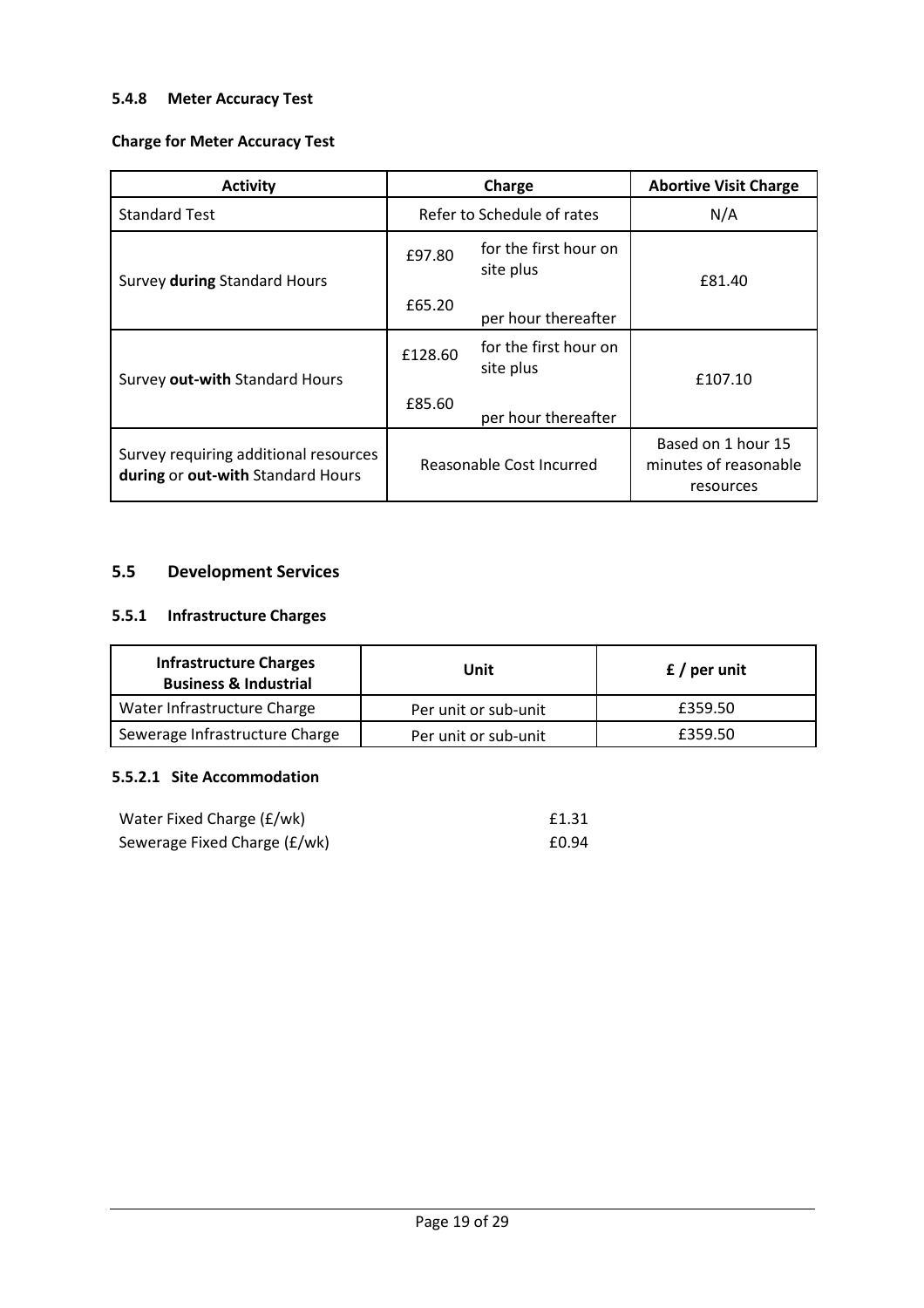### 5.4.8 Meter Accuracy Test

### Charge for Meter Accuracy Test

| <b>Activity</b>                                                            | Charge  |                                    | <b>Abortive Visit Charge</b>                             |
|----------------------------------------------------------------------------|---------|------------------------------------|----------------------------------------------------------|
| <b>Standard Test</b>                                                       |         | Refer to Schedule of rates         | N/A                                                      |
| Survey during Standard Hours                                               | £97.80  | for the first hour on<br>site plus | £81.40                                                   |
|                                                                            | £65.20  | per hour thereafter                |                                                          |
| Survey out-with Standard Hours                                             | £128.60 | for the first hour on<br>site plus | £107.10                                                  |
|                                                                            | £85.60  | per hour thereafter                |                                                          |
| Survey requiring additional resources<br>during or out-with Standard Hours |         | Reasonable Cost Incurred           | Based on 1 hour 15<br>minutes of reasonable<br>resources |

## 5.5 Development Services

#### 5.5.1 Infrastructure Charges

| <b>Infrastructure Charges</b><br><b>Business &amp; Industrial</b> | Unit                 | $f /$ per unit |
|-------------------------------------------------------------------|----------------------|----------------|
| Water Infrastructure Charge                                       | Per unit or sub-unit | £359.50        |
| Sewerage Infrastructure Charge                                    | Per unit or sub-unit | £359.50        |

#### 5.5.2.1 Site Accommodation

| Water Fixed Charge (£/wk)    | £1.31 |
|------------------------------|-------|
| Sewerage Fixed Charge (£/wk) | £0.94 |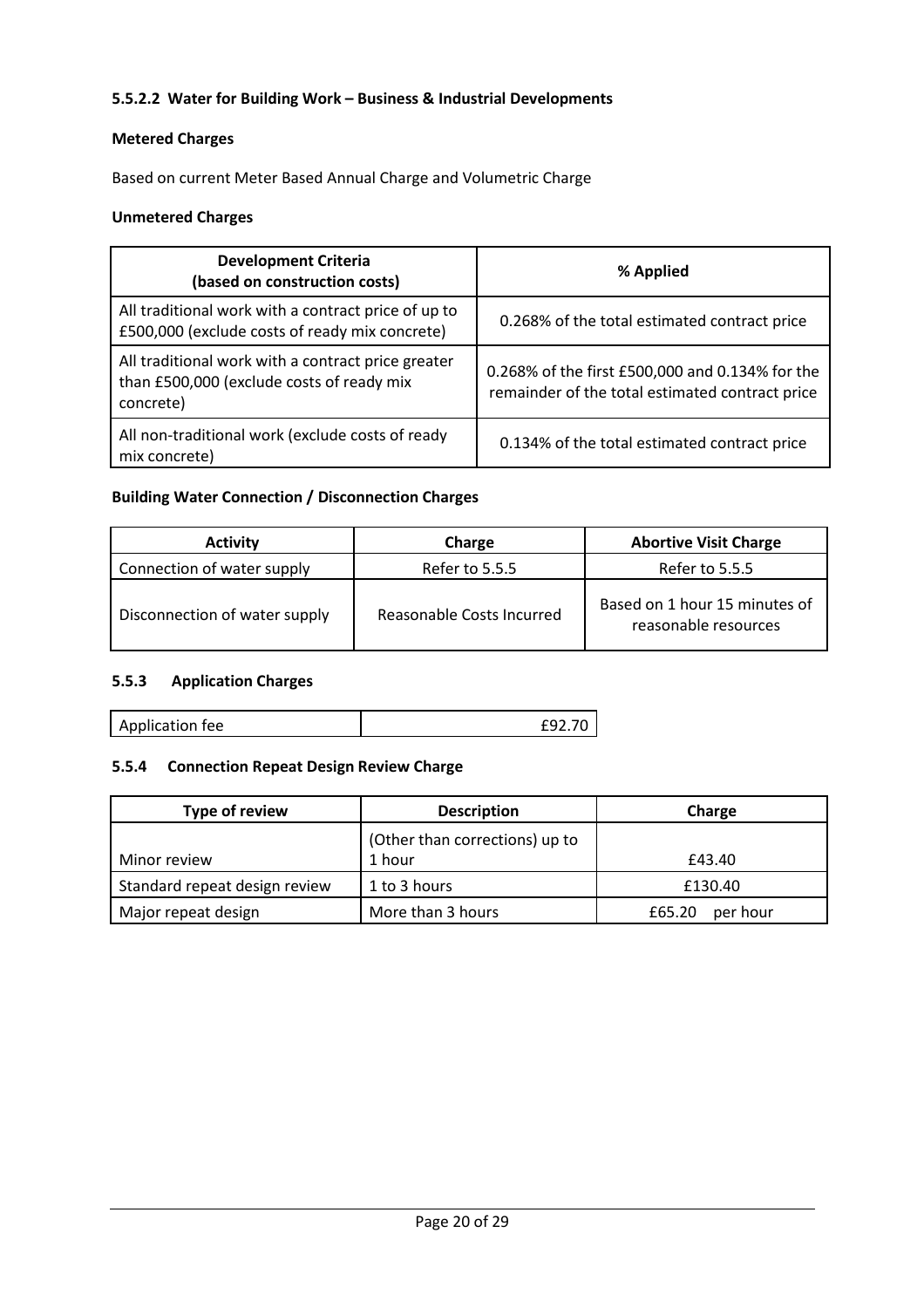#### 5.5.2.2 Water for Building Work – Business & Industrial Developments

### Metered Charges

Based on current Meter Based Annual Charge and Volumetric Charge

#### Unmetered Charges

| <b>Development Criteria</b><br>(based on construction costs)                                                 | % Applied                                                                                          |
|--------------------------------------------------------------------------------------------------------------|----------------------------------------------------------------------------------------------------|
| All traditional work with a contract price of up to<br>£500,000 (exclude costs of ready mix concrete)        | 0.268% of the total estimated contract price                                                       |
| All traditional work with a contract price greater<br>than £500,000 (exclude costs of ready mix<br>concrete) | 0.268% of the first £500,000 and 0.134% for the<br>remainder of the total estimated contract price |
| All non-traditional work (exclude costs of ready<br>mix concrete)                                            | 0.134% of the total estimated contract price                                                       |

#### Building Water Connection / Disconnection Charges

| <b>Activity</b>               | Charge                    | <b>Abortive Visit Charge</b>                          |
|-------------------------------|---------------------------|-------------------------------------------------------|
| Connection of water supply    | Refer to 5.5.5            | Refer to 5.5.5                                        |
| Disconnection of water supply | Reasonable Costs Incurred | Based on 1 hour 15 minutes of<br>reasonable resources |

#### 5.5.3 Application Charges

#### 5.5.4 Connection Repeat Design Review Charge

| Type of review                | <b>Description</b>             | Charge             |
|-------------------------------|--------------------------------|--------------------|
|                               | (Other than corrections) up to |                    |
| Minor review                  | 1 hour                         | £43.40             |
| Standard repeat design review | 1 to 3 hours                   | £130.40            |
| Major repeat design           | More than 3 hours              | per hour<br>£65.20 |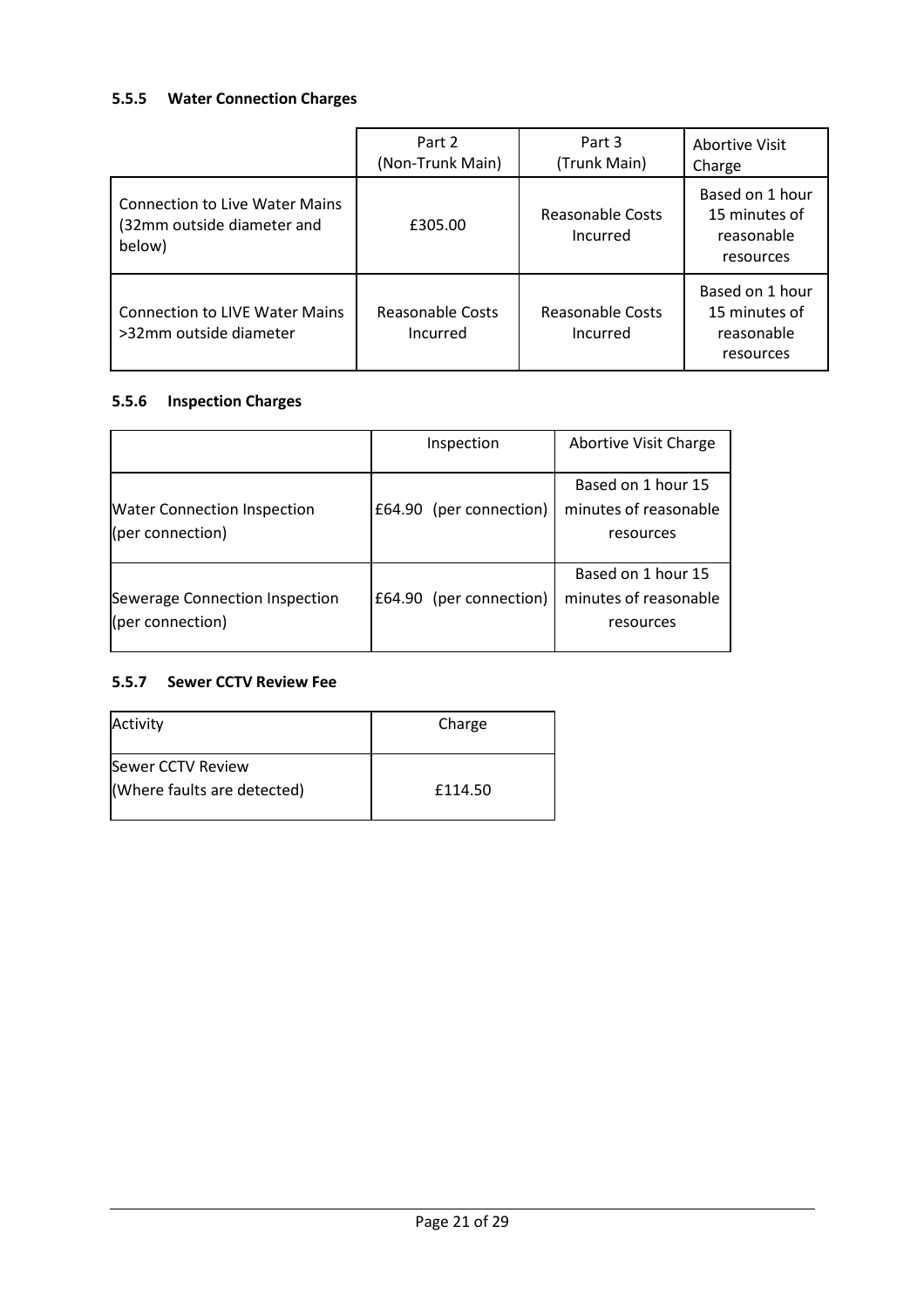### 5.5.5 Water Connection Charges

|                                                                               | Part 2<br>(Non-Trunk Main)   | Part 3<br>(Trunk Main)              | Abortive Visit<br>Charge                                    |
|-------------------------------------------------------------------------------|------------------------------|-------------------------------------|-------------------------------------------------------------|
| <b>Connection to Live Water Mains</b><br>(32mm outside diameter and<br>below) | £305.00                      | Reasonable Costs<br>Incurred        | Based on 1 hour<br>15 minutes of<br>reasonable<br>resources |
| <b>Connection to LIVE Water Mains</b><br>>32mm outside diameter               | Reasonable Costs<br>Incurred | <b>Reasonable Costs</b><br>Incurred | Based on 1 hour<br>15 minutes of<br>reasonable<br>resources |

### 5.5.6 Inspection Charges

|                                                        | Inspection              | Abortive Visit Charge                                    |
|--------------------------------------------------------|-------------------------|----------------------------------------------------------|
| <b>Water Connection Inspection</b><br>(per connection) | £64.90 (per connection) | Based on 1 hour 15<br>minutes of reasonable<br>resources |
| Sewerage Connection Inspection<br>(per connection)     | £64.90 (per connection) | Based on 1 hour 15<br>minutes of reasonable<br>resources |

#### 5.5.7 Sewer CCTV Review Fee

| Activity                                         | Charge  |
|--------------------------------------------------|---------|
| Sewer CCTV Review<br>(Where faults are detected) | £114.50 |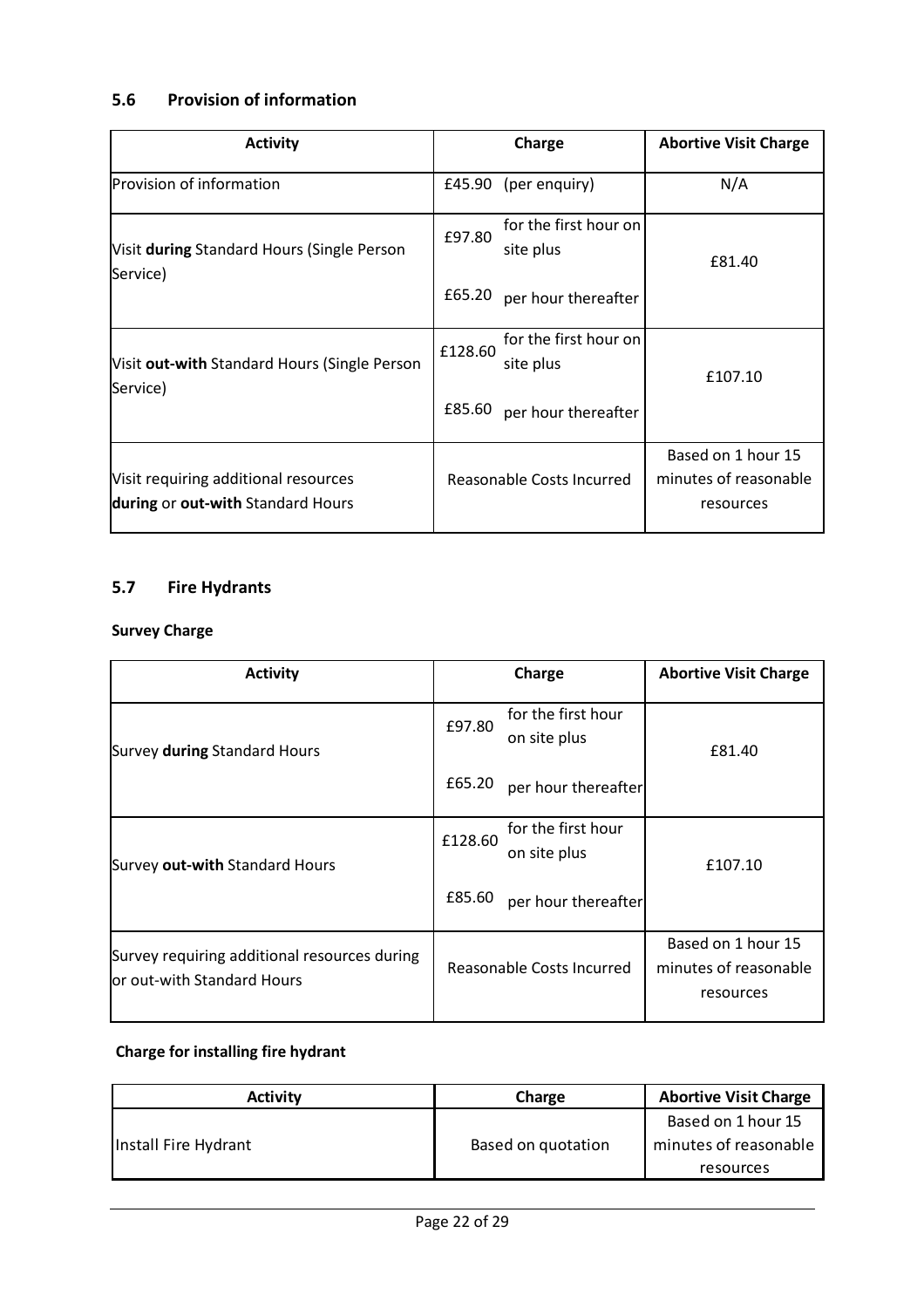## 5.6 Provision of information

| <b>Activity</b>                                                           | Charge                                        | <b>Abortive Visit Charge</b>                             |
|---------------------------------------------------------------------------|-----------------------------------------------|----------------------------------------------------------|
| Provision of information                                                  | £45.90 (per enquiry)                          | N/A                                                      |
| Visit during Standard Hours (Single Person<br>Service)                    | for the first hour on<br>£97.80<br>site plus  | £81.40                                                   |
|                                                                           | £65.20<br>per hour thereafter                 |                                                          |
| Visit out-with Standard Hours (Single Person<br>Service)                  | for the first hour on<br>£128.60<br>site plus | £107.10                                                  |
|                                                                           | £85.60<br>per hour thereafter                 |                                                          |
| Visit requiring additional resources<br>during or out-with Standard Hours | Reasonable Costs Incurred                     | Based on 1 hour 15<br>minutes of reasonable<br>resources |

## 5.7 Fire Hydrants

### Survey Charge

| <b>Activity</b>                                                            | Charge                                        | <b>Abortive Visit Charge</b>                             |
|----------------------------------------------------------------------------|-----------------------------------------------|----------------------------------------------------------|
| Survey during Standard Hours                                               | for the first hour<br>£97.80<br>on site plus  | £81.40                                                   |
|                                                                            | £65.20<br>per hour thereafter                 |                                                          |
| Survey out-with Standard Hours                                             | for the first hour<br>£128.60<br>on site plus | £107.10                                                  |
|                                                                            | £85.60<br>per hour thereafter                 |                                                          |
| Survey requiring additional resources during<br>or out-with Standard Hours | Reasonable Costs Incurred                     | Based on 1 hour 15<br>minutes of reasonable<br>resources |

## Charge for installing fire hydrant

| <b>Activity</b>      | Charge             | <b>Abortive Visit Charge</b>                |
|----------------------|--------------------|---------------------------------------------|
| Install Fire Hydrant | Based on quotation | Based on 1 hour 15<br>minutes of reasonable |
|                      |                    | resources                                   |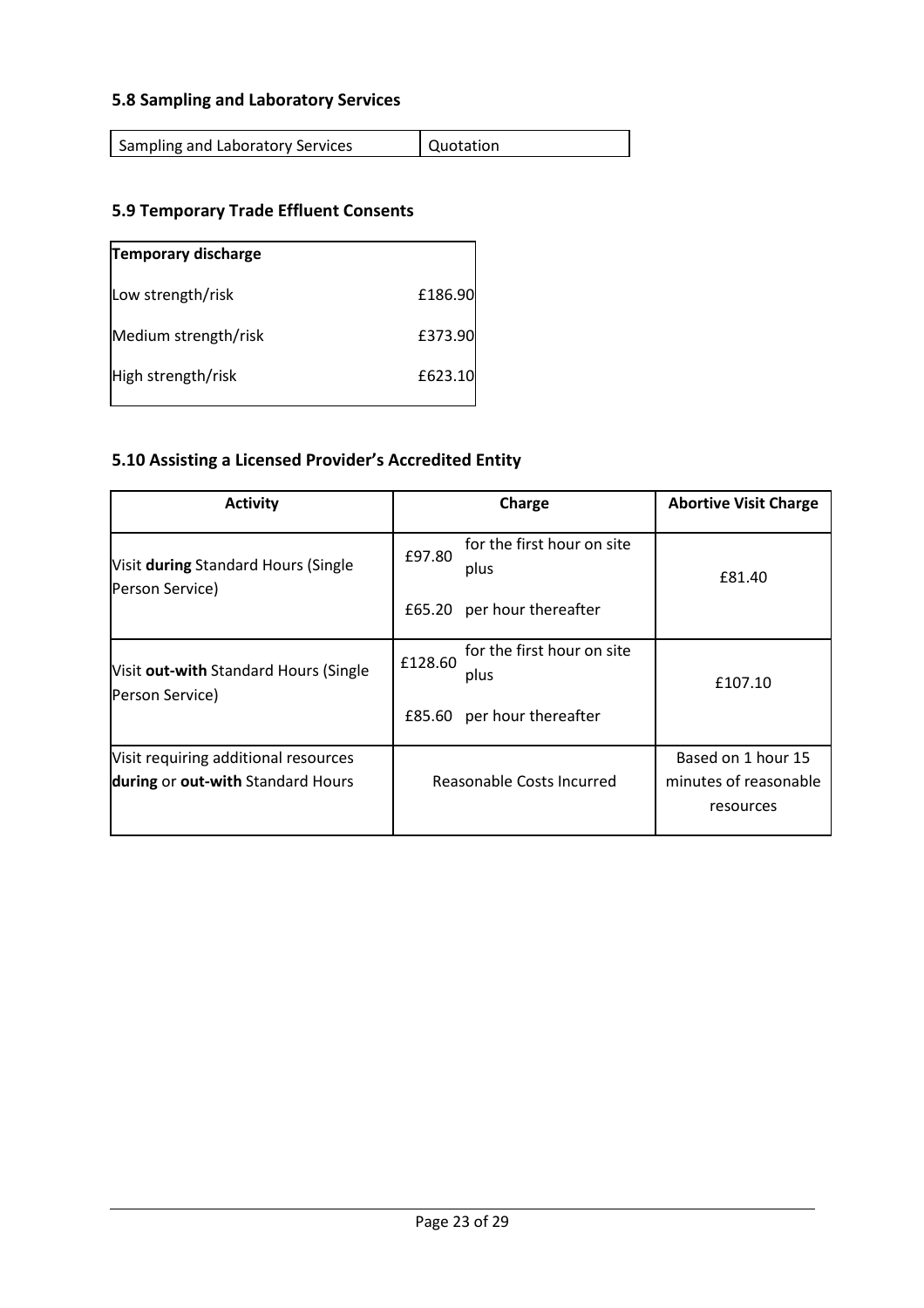## 5.8 Sampling and Laboratory Services

| Sampling and Laboratory Services | Quotation |
|----------------------------------|-----------|

#### 5.9 Temporary Trade Effluent Consents

| <b>Temporary discharge</b> |         |
|----------------------------|---------|
| Low strength/risk          | £186.90 |
| Medium strength/risk       | £373.90 |
| High strength/risk         | £623.10 |

## 5.10 Assisting a Licensed Provider's Accredited Entity

| <b>Activity</b>                                                           | Charge                                        | <b>Abortive Visit Charge</b>                             |
|---------------------------------------------------------------------------|-----------------------------------------------|----------------------------------------------------------|
| Visit during Standard Hours (Single<br>Person Service)                    | for the first hour on site<br>£97.80<br>plus  | £81.40                                                   |
|                                                                           | £65.20 per hour thereafter                    |                                                          |
| Visit out-with Standard Hours (Single<br>Person Service)                  | for the first hour on site<br>£128.60<br>plus | £107.10                                                  |
|                                                                           | £85.60 per hour thereafter                    |                                                          |
| Visit requiring additional resources<br>during or out-with Standard Hours | Reasonable Costs Incurred                     | Based on 1 hour 15<br>minutes of reasonable<br>resources |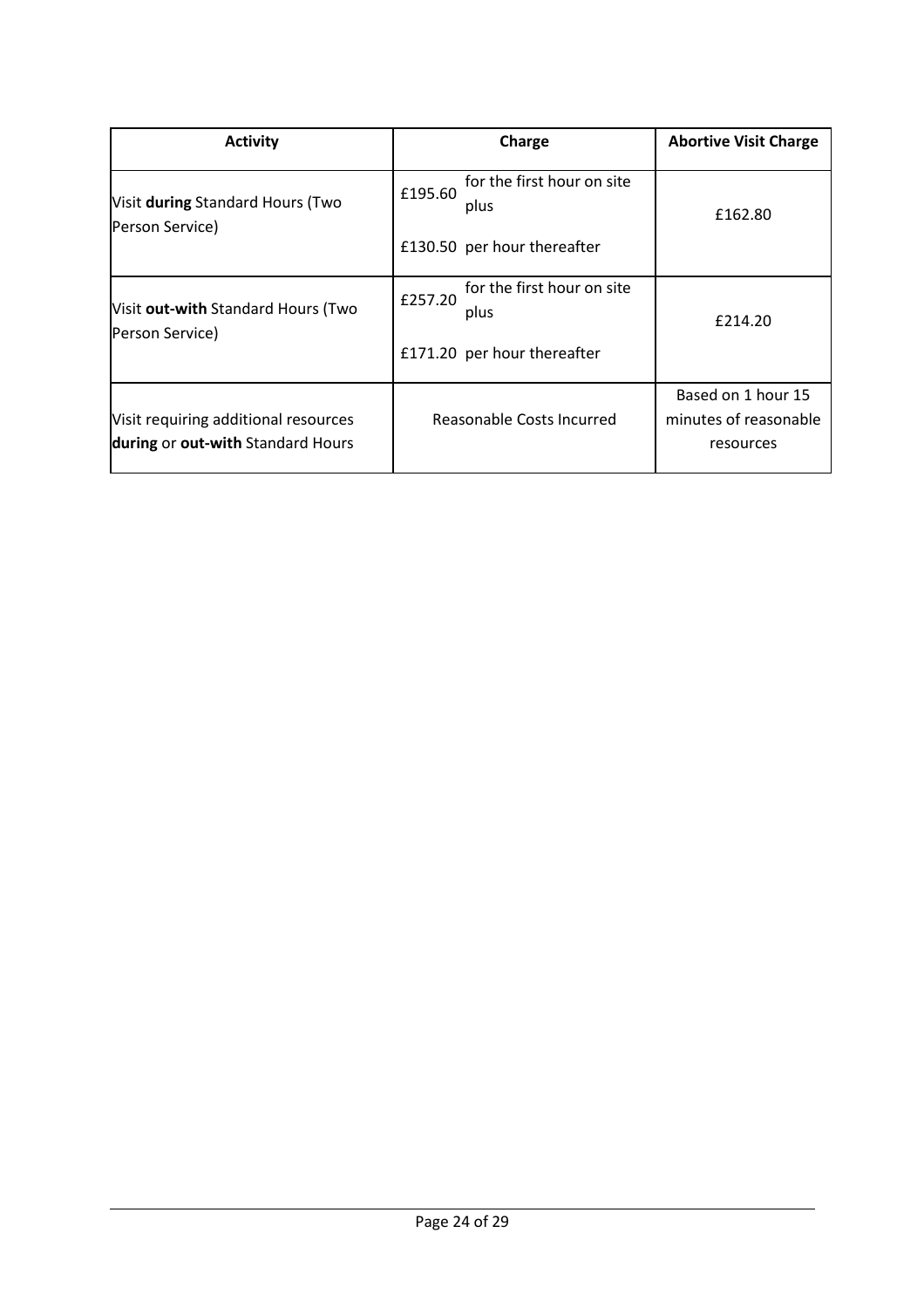| <b>Activity</b>                                                           | Charge                                        | <b>Abortive Visit Charge</b>                             |
|---------------------------------------------------------------------------|-----------------------------------------------|----------------------------------------------------------|
| Visit during Standard Hours (Two<br>Person Service)                       | for the first hour on site<br>£195.60<br>plus | £162.80                                                  |
|                                                                           | £130.50 per hour thereafter                   |                                                          |
| Visit out-with Standard Hours (Two<br>Person Service)                     | for the first hour on site<br>£257.20<br>plus | £214.20                                                  |
|                                                                           | £171.20 per hour thereafter                   |                                                          |
| Visit requiring additional resources<br>during or out-with Standard Hours | Reasonable Costs Incurred                     | Based on 1 hour 15<br>minutes of reasonable<br>resources |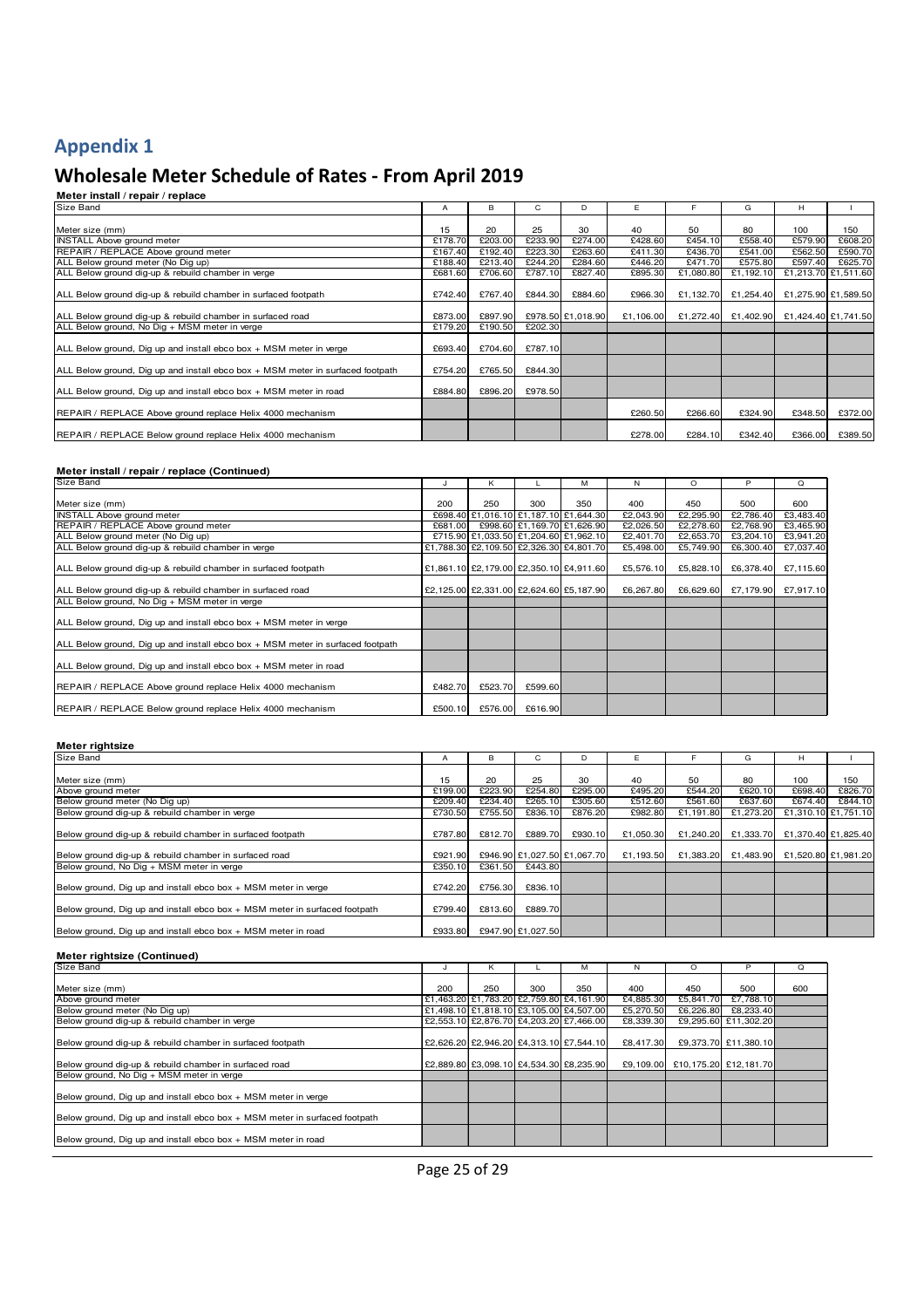### Wholesale Meter Schedule of Rates - From April 2019

| Meter install / repair / replace                                               |         |         |         |                   |           |           |           |                               |         |
|--------------------------------------------------------------------------------|---------|---------|---------|-------------------|-----------|-----------|-----------|-------------------------------|---------|
| Size Band                                                                      | А       | в       | C       | D                 | E         |           | G         | н                             |         |
| Meter size (mm)                                                                | 15      | 20      | 25      | 30                | 40        | 50        | 80        | 100                           | 150     |
| <b>INSTALL Above ground meter</b>                                              | £178.70 | £203.00 | £233.90 | £274.00           | £428.60   | £454.10   | £558.40   | £579.90                       | £608.20 |
| REPAIR / REPLACE Above ground meter                                            | £167.40 | £192.40 | £223.30 | £263.60           | £411.30   | £436.70   | £541.00   | £562.50                       | £590.70 |
| ALL Below ground meter (No Dig up)                                             | £188.40 | £213.40 | £244.20 | £284.60           | £446.20   | £471.70   | £575.80   | £597.40                       | £625.70 |
| ALL Below ground dig-up & rebuild chamber in verge                             | £681.60 | £706.60 | £787.10 | £827.40           | £895.30   | £1,080.80 | £1,192.10 | £1,213.70 £1,511.60           |         |
| ALL Below ground dig-up & rebuild chamber in surfaced footpath                 | £742.40 | £767.40 | £844.30 | £884.60           | £966.30   | £1,132.70 | £1,254.40 | £1,275.90 £1,589.50           |         |
| ALL Below ground dig-up & rebuild chamber in surfaced road                     | £873.00 | £897.90 |         | £978.50 £1,018.90 | £1.106.00 | £1.272.40 |           | £1,402.90 £1,424.40 £1,741.50 |         |
| ALL Below ground, No Dig + MSM meter in verge                                  | £179.20 | £190.50 | £202.30 |                   |           |           |           |                               |         |
| ALL Below ground, Dig up and install ebco box + MSM meter in verge             | £693.40 | £704.60 | £787.10 |                   |           |           |           |                               |         |
| ALL Below ground, Dig up and install ebco box + MSM meter in surfaced footpath | £754.20 | £765.50 | £844.30 |                   |           |           |           |                               |         |
| ALL Below ground. Dig up and install ebco box + MSM meter in road              | £884.80 | £896.20 | £978.50 |                   |           |           |           |                               |         |
| REPAIR / REPLACE Above ground replace Helix 4000 mechanism                     |         |         |         |                   | £260.50   | £266.60   | £324.90   | £348.50                       | £372.00 |
| REPAIR / REPLACE Below ground replace Helix 4000 mechanism                     |         |         |         |                   | £278.00   | £284.10   | £342.40   | £366.00                       | £389.50 |

#### **Meter install / repair / replace (Continued)**

| Size Band                                                                      | J       | ĸ       |         | м                                       | N         | $\Omega$  | P         | $\circ$   |
|--------------------------------------------------------------------------------|---------|---------|---------|-----------------------------------------|-----------|-----------|-----------|-----------|
| Meter size (mm)                                                                | 200     | 250     | 300     | 350                                     | 400       | 450       | 500       | 600       |
| <b>INSTALL Above ground meter</b>                                              |         |         |         | £698.40 £1,016.10 £1,187.10 £1,644.30   | £2,043.90 | £2,295.90 | £2,786.40 | £3,483.40 |
| REPAIR / REPLACE Above ground meter                                            | £681.00 |         |         | £998.60 £1,169.70 £1,626.90             | £2,026.50 | £2,278.60 | £2,768.90 | £3,465.90 |
| ALL Below ground meter (No Dig up)                                             |         |         |         | £715.90 £1,033.50 £1,204.60 £1,962.10   | £2,401.70 | £2,653.70 | £3,204.10 | £3,941.20 |
| ALL Below ground dig-up & rebuild chamber in verge                             |         |         |         | £1,788.30 £2,109.50 £2,326.30 £4,801.70 | £5,498.00 | £5,749.90 | £6,300.40 | £7,037.40 |
| ALL Below ground dig-up & rebuild chamber in surfaced footpath                 |         |         |         | £1,861.10 £2,179.00 £2,350.10 £4,911.60 | £5.576.10 | £5,828.10 | £6,378.40 | £7,115.60 |
| ALL Below ground dig-up & rebuild chamber in surfaced road                     |         |         |         | £2,125.00 £2,331.00 £2,624.60 £5,187.90 | £6,267.80 | £6,629.60 | £7,179.90 | £7,917.10 |
| ALL Below ground, No Dig + MSM meter in verge                                  |         |         |         |                                         |           |           |           |           |
| ALL Below ground, Dig up and install ebco box + MSM meter in verge             |         |         |         |                                         |           |           |           |           |
| ALL Below ground, Dig up and install ebco box + MSM meter in surfaced footpath |         |         |         |                                         |           |           |           |           |
| ALL Below ground, Dig up and install ebco box + MSM meter in road              |         |         |         |                                         |           |           |           |           |
| REPAIR / REPLACE Above ground replace Helix 4000 mechanism                     | £482.70 | £523.70 | £599.60 |                                         |           |           |           |           |
| REPAIR / REPLACE Below ground replace Helix 4000 mechanism                     | £500.10 | £576.00 | £616.90 |                                         |           |           |           |           |

#### **Meter rightsize** 1 2 3 4 5 6 7 8 9

| Size Band                                                                  | A       | в       | C                 | D                           | Е         | E         | G         | H       |                     |
|----------------------------------------------------------------------------|---------|---------|-------------------|-----------------------------|-----------|-----------|-----------|---------|---------------------|
|                                                                            |         |         |                   |                             |           |           |           |         |                     |
| Meter size (mm)                                                            | 15      | 20      | 25                | 30                          | 40        | 50        | 80        | 100     | 150                 |
| Above ground meter                                                         | £199.00 | £223.90 | £254.80           | £295.00                     | £495.20   | £544.20   | £620.10   | £698.40 | £826.70             |
| Below ground meter (No Dig up)                                             | £209.40 | £234.40 | £265.10           | £305.60                     | £512.60   | £561.60   | £637.60   | £674.40 | £844.10             |
| Below ground dig-up & rebuild chamber in verge                             | £730.50 | £755.50 | £836.10           | £876.20                     | £982.80   | £1.191.80 | £1,273.20 |         | £1,310.10 £1,751.10 |
| Below ground dig-up & rebuild chamber in surfaced footpath                 | £787.80 | £812.70 | £889.70           | £930.10                     | £1.050.30 | £1.240.20 | £1.333.70 |         | £1.370.40 £1.825.40 |
| Below ground dig-up & rebuild chamber in surfaced road                     | £921.90 |         |                   | £946.90 £1,027.50 £1,067.70 | £1.193.50 | £1.383.20 | £1.483.90 |         | £1.520.80 £1.981.20 |
| Below ground, No Dig + MSM meter in verge                                  | £350.10 | £361.50 | £443.80           |                             |           |           |           |         |                     |
| Below ground, Dig up and install ebco box $+$ MSM meter in verge           | £742.20 | £756.30 | £836.10           |                             |           |           |           |         |                     |
| Below ground, Dig up and install ebco box + MSM meter in surfaced footpath | £799.40 | £813.60 | £889.70           |                             |           |           |           |         |                     |
| Below ground, Dig up and install ebco box + MSM meter in road              | £933.80 |         | £947.90 £1,027.50 |                             |           |           |           |         |                     |

#### **Meter rightsize (Continued)**

| Size Band                                                                  |     | ĸ   |     | м                                       | N         | $\circ$                         | P                    | $\Omega$ |
|----------------------------------------------------------------------------|-----|-----|-----|-----------------------------------------|-----------|---------------------------------|----------------------|----------|
|                                                                            |     |     |     |                                         |           |                                 |                      |          |
| Meter size (mm)                                                            | 200 | 250 | 300 | 350                                     | 400       | 450                             | 500                  | 600      |
| Above ground meter                                                         |     |     |     | £1,463.20 £1,783.20 £2,759.80 £4,161.90 | £4,885.30 | £5,841.70                       | £7.788.10            |          |
| Below ground meter (No Dig up)                                             |     |     |     | £1,498.10 £1,818.10 £3,105.00 £4,507.00 | £5,270.50 | £6,226.80                       | £8,233.40            |          |
| Below ground dig-up & rebuild chamber in verge                             |     |     |     | £2,553.10 £2,876.70 £4,203.20 £7,466.00 | £8.339.30 |                                 | £9,295.60 £11,302.20 |          |
|                                                                            |     |     |     |                                         |           |                                 |                      |          |
| Below ground dig-up & rebuild chamber in surfaced footpath                 |     |     |     | £2,626.20 £2,946.20 £4,313.10 £7,544.10 | £8,417.30 |                                 | £9,373.70 £11,380.10 |          |
|                                                                            |     |     |     |                                         |           |                                 |                      |          |
| Below ground dig-up & rebuild chamber in surfaced road                     |     |     |     | £2,889.80 £3,098.10 £4,534.30 £8,235.90 |           | £9,109.00 £10,175.20 £12,181.70 |                      |          |
| Below ground, No Dig + MSM meter in verge                                  |     |     |     |                                         |           |                                 |                      |          |
|                                                                            |     |     |     |                                         |           |                                 |                      |          |
| Below ground, Dig up and install ebco box + MSM meter in verge             |     |     |     |                                         |           |                                 |                      |          |
|                                                                            |     |     |     |                                         |           |                                 |                      |          |
| Below ground, Dig up and install ebco box + MSM meter in surfaced footpath |     |     |     |                                         |           |                                 |                      |          |
|                                                                            |     |     |     |                                         |           |                                 |                      |          |
| Below ground, Dig up and install ebco box + MSM meter in road              |     |     |     |                                         |           |                                 |                      |          |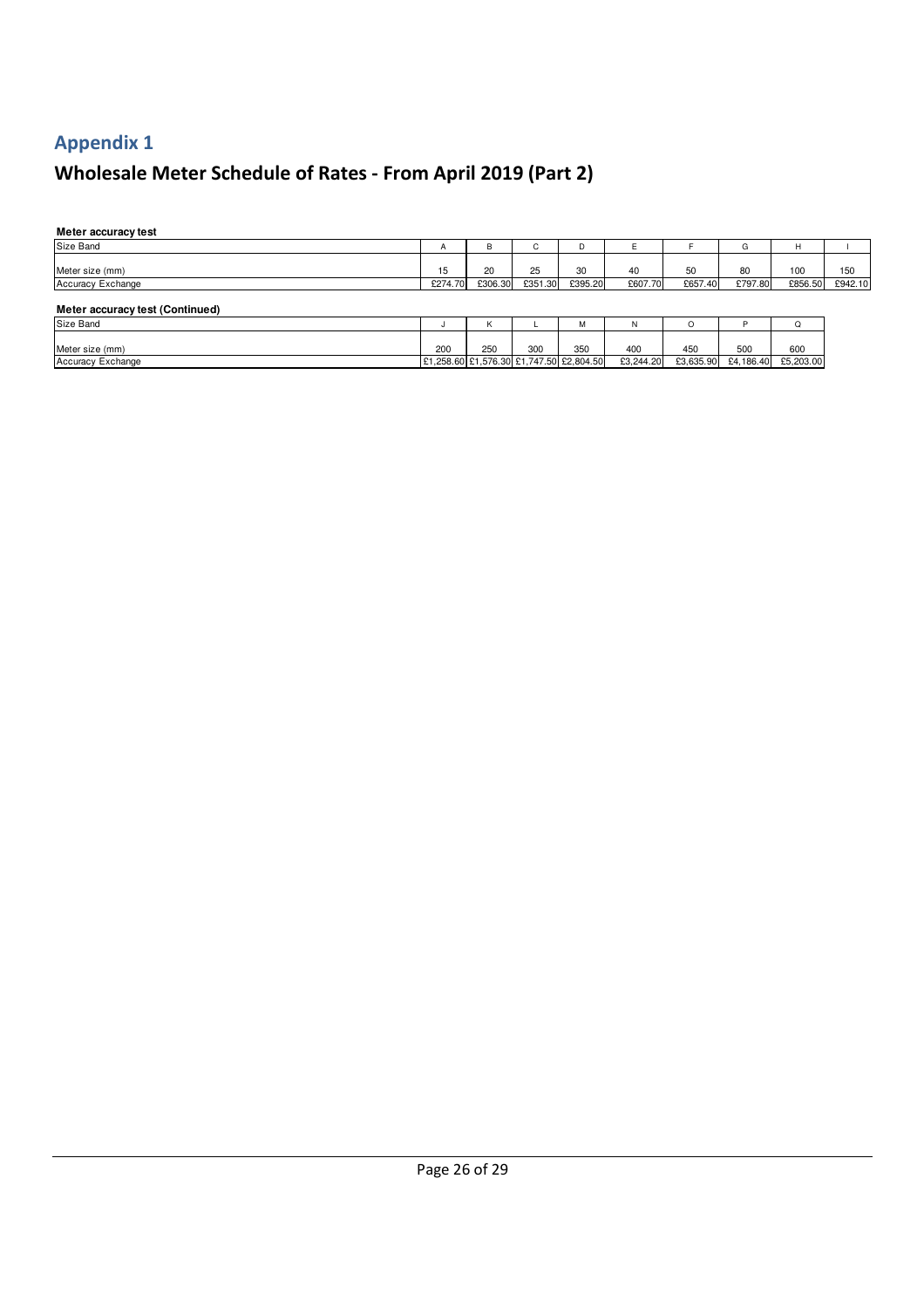# Wholesale Meter Schedule of Rates - From April 2019 (Part 2)

| Meter accuracy test             |              |         |         |                                         |           |           |           |           |         |
|---------------------------------|--------------|---------|---------|-----------------------------------------|-----------|-----------|-----------|-----------|---------|
| Size Band                       | $\mathsf{A}$ | B       | Ü       | D                                       |           |           | G         | н         |         |
| Meter size (mm)                 | 15           | 20      | 25      | 30                                      | 40        | 50        | 80        | 100       | 150     |
| Accuracy Exchange               | £274.70      | £306.30 | £351.30 | £395.20                                 | £607.70   | £657.40   | £797.80   | £856.50   | £942.10 |
| Meter accuracy test (Continued) |              |         |         |                                         |           |           |           |           |         |
| Size Band                       |              | ĸ       |         | М                                       | N         | O         |           | Q         |         |
| Meter size (mm)                 | 200          | 250     | 300     | 350                                     | 400       | 450       | 500       | 600       |         |
| <b>Accuracy Exchange</b>        |              |         |         | £1,258.60 £1,576.30 £1,747.50 £2,804.50 | £3,244.20 | £3,635.90 | £4,186.40 | £5,203.00 |         |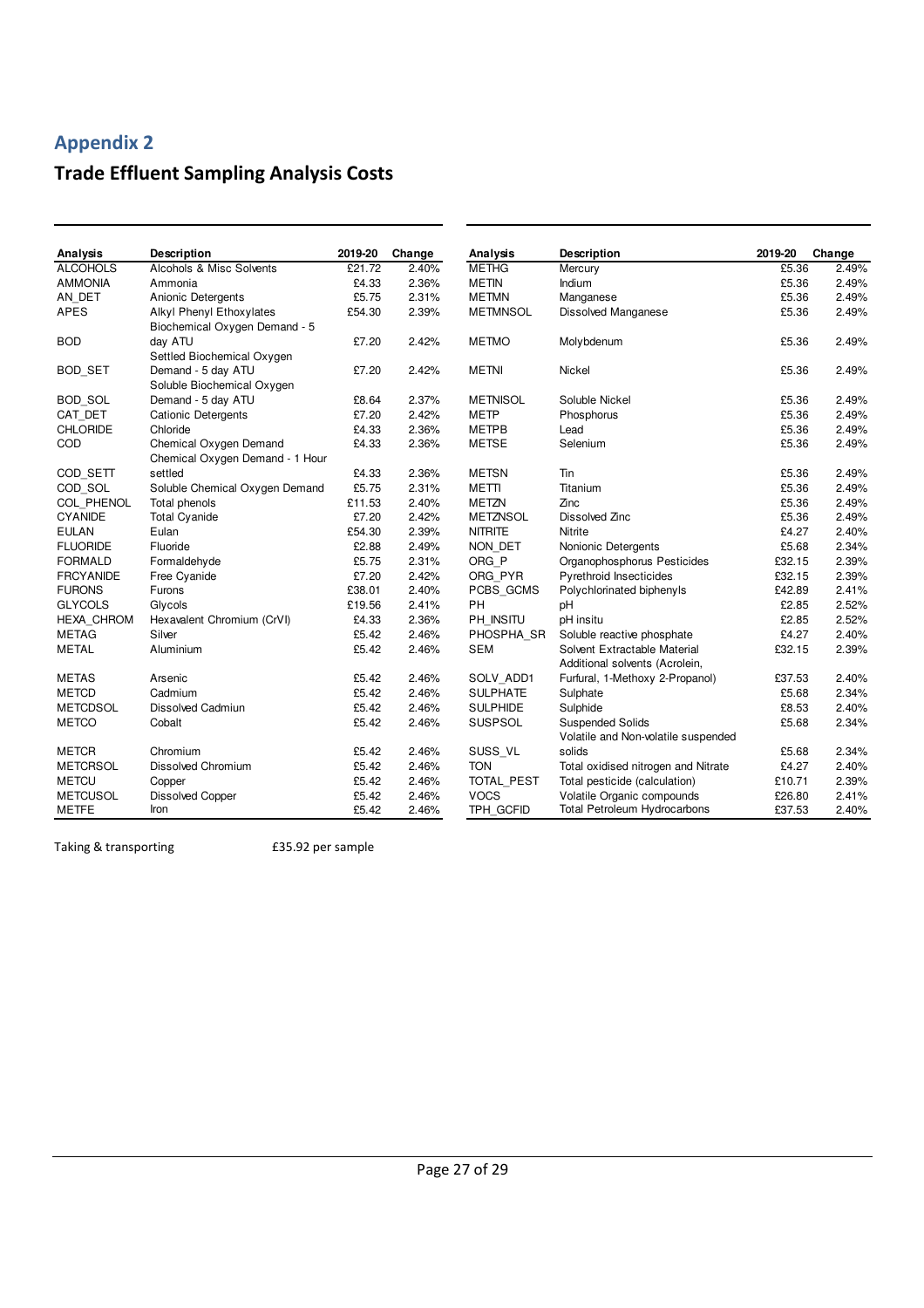## Trade Effluent Sampling Analysis Costs

| Analysis          | <b>Description</b>              | 2019-20 | Change | Analysis        | <b>Description</b>                  | 2019-20 | Change |
|-------------------|---------------------------------|---------|--------|-----------------|-------------------------------------|---------|--------|
| <b>ALCOHOLS</b>   | Alcohols & Misc Solvents        | £21.72  | 2.40%  | <b>METHG</b>    | Mercury                             | £5.36   | 2.49%  |
| <b>AMMONIA</b>    | Ammonia                         | £4.33   | 2.36%  | <b>METIN</b>    | Indium                              | £5.36   | 2.49%  |
| AN DET            | Anionic Detergents              | £5.75   | 2.31%  | <b>METMN</b>    | Manganese                           | £5.36   | 2.49%  |
| <b>APES</b>       | Alkyl Phenyl Ethoxylates        | £54.30  | 2.39%  | <b>METMNSOL</b> | Dissolved Manganese                 | £5.36   | 2.49%  |
|                   | Biochemical Oxygen Demand - 5   |         |        |                 |                                     |         |        |
| <b>BOD</b>        | day ATU                         | £7.20   | 2.42%  | <b>METMO</b>    | Molybdenum                          | £5.36   | 2.49%  |
|                   | Settled Biochemical Oxygen      |         |        |                 |                                     |         |        |
| <b>BOD SET</b>    | Demand - 5 day ATU              | £7.20   | 2.42%  | <b>METNI</b>    | <b>Nickel</b>                       | £5.36   | 2.49%  |
|                   | Soluble Biochemical Oxygen      |         |        |                 |                                     |         |        |
| <b>BOD SOL</b>    | Demand - 5 day ATU              | £8.64   | 2.37%  | <b>METNISOL</b> | Soluble Nickel                      | £5.36   | 2.49%  |
| CAT DET           | <b>Cationic Detergents</b>      | £7.20   | 2.42%  | <b>METP</b>     | Phosphorus                          | £5.36   | 2.49%  |
| <b>CHLORIDE</b>   | Chloride                        | £4.33   | 2.36%  | <b>METPB</b>    | Lead                                | £5.36   | 2.49%  |
| COD               | Chemical Oxygen Demand          | £4.33   | 2.36%  | <b>METSE</b>    | Selenium                            | £5.36   | 2.49%  |
|                   | Chemical Oxygen Demand - 1 Hour |         |        |                 |                                     |         |        |
| COD SETT          | settled                         | £4.33   | 2.36%  | <b>METSN</b>    | Tin                                 | £5.36   | 2.49%  |
| COD SOL           | Soluble Chemical Oxygen Demand  | £5.75   | 2.31%  | <b>METTI</b>    | Titanium                            | £5.36   | 2.49%  |
| <b>COL PHENOL</b> | Total phenols                   | £11.53  | 2.40%  | <b>METZN</b>    | Zinc                                | £5.36   | 2.49%  |
| <b>CYANIDE</b>    | <b>Total Cyanide</b>            | £7.20   | 2.42%  | <b>METZNSOL</b> | Dissolved Zinc                      | £5.36   | 2.49%  |
| <b>EULAN</b>      | Eulan                           | £54.30  | 2.39%  | <b>NITRITE</b>  | Nitrite                             | £4.27   | 2.40%  |
| <b>FLUORIDE</b>   | Fluoride                        | £2.88   | 2.49%  | NON DET         | Nonionic Detergents                 | £5.68   | 2.34%  |
| <b>FORMALD</b>    | Formaldehyde                    | £5.75   | 2.31%  | ORG P           | Organophosphorus Pesticides         | £32.15  | 2.39%  |
| <b>FRCYANIDE</b>  | Free Cyanide                    | £7.20   | 2.42%  | ORG PYR         | Pyrethroid Insecticides             | £32.15  | 2.39%  |
| <b>FURONS</b>     | Furons                          | £38.01  | 2.40%  | PCBS GCMS       | Polychlorinated biphenyls           | £42.89  | 2.41%  |
| <b>GLYCOLS</b>    | Glycols                         | £19.56  | 2.41%  | <b>PH</b>       | pH                                  | £2.85   | 2.52%  |
| <b>HEXA CHROM</b> | Hexavalent Chromium (CrVI)      | £4.33   | 2.36%  | PH INSITU       | pH insitu                           | £2.85   | 2.52%  |
| <b>METAG</b>      | Silver                          | £5.42   | 2.46%  | PHOSPHA SR      | Soluble reactive phosphate          | £4.27   | 2.40%  |
| <b>METAL</b>      | Aluminium                       | £5.42   | 2.46%  | <b>SEM</b>      | Solvent Extractable Material        | £32.15  | 2.39%  |
|                   |                                 |         |        |                 | Additional solvents (Acrolein,      |         |        |
| <b>METAS</b>      | Arsenic                         | £5.42   | 2.46%  | SOLV ADD1       | Furfural, 1-Methoxy 2-Propanol)     | £37.53  | 2.40%  |
| <b>METCD</b>      | Cadmium                         | £5.42   | 2.46%  | <b>SULPHATE</b> | Sulphate                            | £5.68   | 2.34%  |
| <b>METCDSOL</b>   | <b>Dissolved Cadmiun</b>        | £5.42   | 2.46%  | <b>SULPHIDE</b> | Sulphide                            | £8.53   | 2.40%  |
| <b>METCO</b>      | Cobalt                          | £5.42   | 2.46%  | <b>SUSPSOL</b>  | <b>Suspended Solids</b>             | £5.68   | 2.34%  |
|                   |                                 |         |        |                 | Volatile and Non-volatile suspended |         |        |
| <b>METCR</b>      | Chromium                        | £5.42   | 2.46%  | SUSS VL         | solids                              | £5.68   | 2.34%  |
| <b>METCRSOL</b>   | <b>Dissolved Chromium</b>       | £5.42   | 2.46%  | <b>TON</b>      | Total oxidised nitrogen and Nitrate | £4.27   | 2.40%  |
| <b>METCU</b>      | Copper                          | £5.42   | 2.46%  | TOTAL PEST      | Total pesticide (calculation)       | £10.71  | 2.39%  |
| <b>METCUSOL</b>   | <b>Dissolved Copper</b>         | £5.42   | 2.46%  | <b>VOCS</b>     | Volatile Organic compounds          | £26.80  | 2.41%  |
| <b>METFE</b>      | Iron                            | £5.42   | 2.46%  | TPH GCFID       | Total Petroleum Hydrocarbons        | £37.53  | 2.40%  |

Taking & transporting E35.92 per sample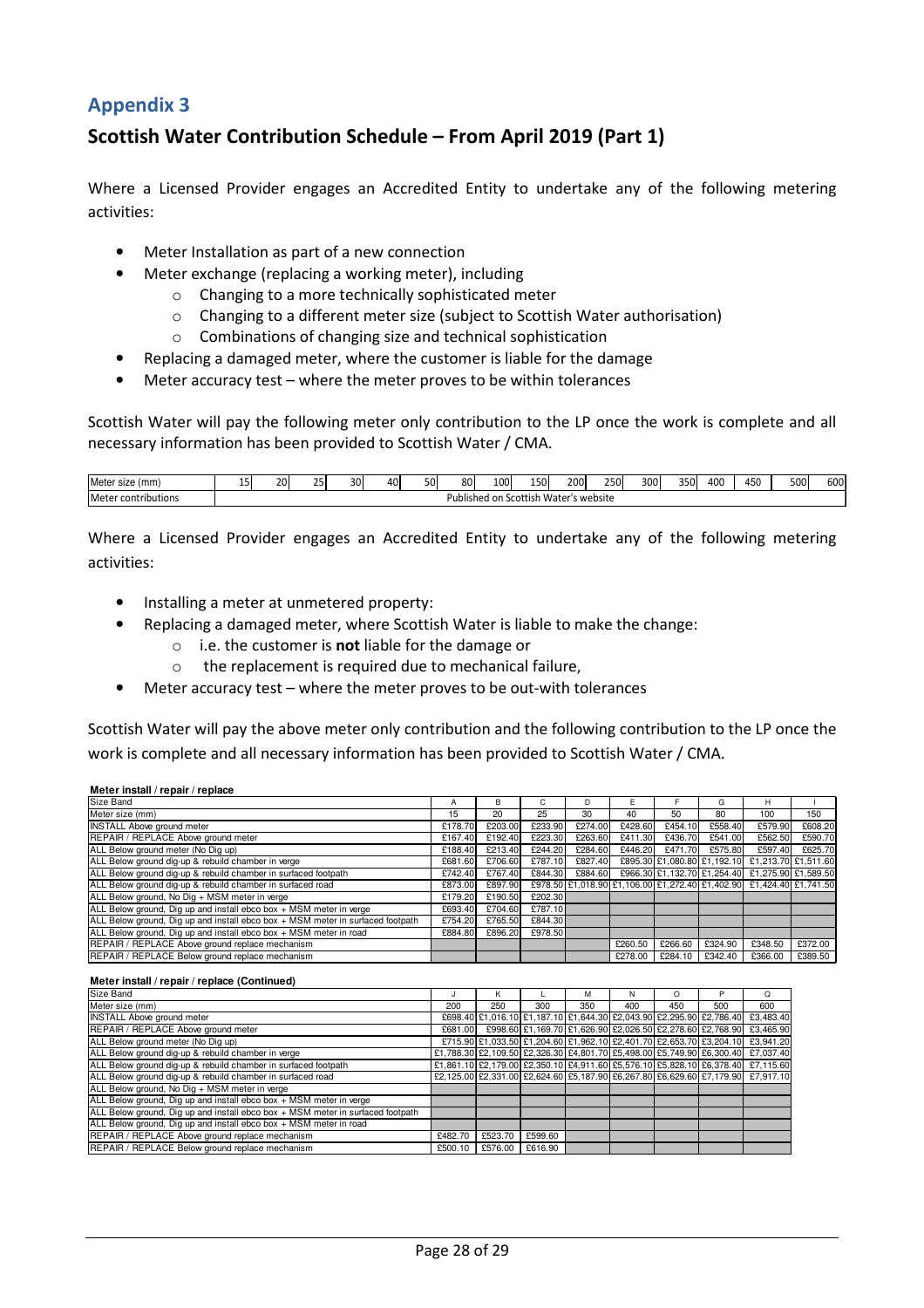## Scottish Water Contribution Schedule – From April 2019 (Part 1)

Where a Licensed Provider engages an Accredited Entity to undertake any of the following metering activities:

- Meter Installation as part of a new connection
- Meter exchange (replacing a working meter), including
	- o Changing to a more technically sophisticated meter
		- o Changing to a different meter size (subject to Scottish Water authorisation)
		- o Combinations of changing size and technical sophistication
- Replacing a damaged meter, where the customer is liable for the damage
- Meter accuracy test where the meter proves to be within tolerances

Scottish Water will pay the following meter only contribution to the LP once the work is complete and all necessary information has been provided to Scottish Water / CMA.

| 'mm<br>Matar<br>$\sim$<br>size<br><b>INICICI</b> | 20 | $\sim$<br>-- | 30 | 40 | 50 | 80           | 100 | 1.501<br>י טכב                   | 200      | 250       | 300 | 350l | 400 | 450 | 500 | 600 |
|--------------------------------------------------|----|--------------|----|----|----|--------------|-----|----------------------------------|----------|-----------|-----|------|-----|-----|-----|-----|
| contributions <sup>.</sup><br>Meter              |    |              |    |    |    | Published on |     | $\ddot{\phantom{0}}$<br>Scottish | ı Water' | s website |     |      |     |     |     |     |

Where a Licensed Provider engages an Accredited Entity to undertake any of the following metering activities:

- Installing a meter at unmetered property:
- Replacing a damaged meter, where Scottish Water is liable to make the change:
	- $\circ$  i.e. the customer is **not** liable for the damage or
		- o the replacement is required due to mechanical failure,
- Meter accuracy test where the meter proves to be out-with tolerances

Scottish Water will pay the above meter only contribution and the following contribution to the LP once the work is complete and all necessary information has been provided to Scottish Water / CMA.

**Meter install / repair / replace** 

| Size Band                                                                      | A       | B       | G       |         |         |         | G       | н                                                                   |         |
|--------------------------------------------------------------------------------|---------|---------|---------|---------|---------|---------|---------|---------------------------------------------------------------------|---------|
| Meter size (mm)                                                                | 15      | 20      | 25      | 30      | 40      | 50      | 80      | 100                                                                 | 150     |
| <b>INSTALL Above ground meter</b>                                              | £178.70 | £203.00 | £233.90 | £274.00 | £428.60 | £454.10 | £558.40 | £579.90                                                             | £608.20 |
| REPAIR / REPLACE Above ground meter                                            | £167.40 | £192.40 | £223.30 | £263.60 | £411.30 | £436.70 | £541.00 | £562.50                                                             | £590.70 |
| ALL Below ground meter (No Dig up)                                             | £188.40 | £213.40 | £244.20 | £284.60 | £446.20 | £471.70 | £575.80 | £597.40                                                             | £625.70 |
| ALL Below ground dig-up & rebuild chamber in verge                             | £681.60 | £706.60 | £787.10 | £827.40 |         |         |         | £895.30 £1,080.80 £1,192.10 £1,213.70 £1,511.60                     |         |
| ALL Below ground dig-up & rebuild chamber in surfaced footpath                 | £742.40 | £767.40 | £844.30 | £884.60 |         |         |         | £966.30 £1,132.70 £1,254.40 £1,275.90 £1,589.50                     |         |
| ALL Below ground dig-up & rebuild chamber in surfaced road                     | £873.00 | £897.90 |         |         |         |         |         | £978.50 £1,018.90 £1,106.00 £1,272.40 £1,402.90 £1,424.40 £1,741.50 |         |
| ALL Below ground, No Dig + MSM meter in verge                                  | £179.20 | £190.50 | £202.30 |         |         |         |         |                                                                     |         |
| ALL Below ground, Dig up and install ebco box + MSM meter in verge             | £693.40 | £704.60 | £787.10 |         |         |         |         |                                                                     |         |
| ALL Below ground, Dig up and install ebco box + MSM meter in surfaced footpath | £754.20 | £765.50 | £844.30 |         |         |         |         |                                                                     |         |
| ALL Below ground, Dig up and install ebco box + MSM meter in road              | £884.80 | £896.20 | £978.50 |         |         |         |         |                                                                     |         |
| REPAIR / REPLACE Above ground replace mechanism                                |         |         |         |         | £260.50 | £266.60 | £324.90 | £348.50                                                             | £372.00 |
| REPAIR / REPLACE Below ground replace mechanism                                |         |         |         |         | £278.00 | £284.10 | £342.40 | £366.00                                                             | £389.50 |



| Size Band                                                                      |         |         |         |     | Ν   | ∩   |     |                                                                                 |
|--------------------------------------------------------------------------------|---------|---------|---------|-----|-----|-----|-----|---------------------------------------------------------------------------------|
| Meter size (mm)                                                                | 200     | 250     | 300     | 350 | 400 | 450 | 500 | 600                                                                             |
| <b>INSTALL Above ground meter</b>                                              |         |         |         |     |     |     |     | £698.40 £1,016.10 £1,187.10 £1,644.30 £2,043.90 £2,295.90 £2,786.40 £3,483.40   |
| REPAIR / REPLACE Above ground meter                                            | £681.00 |         |         |     |     |     |     | £998.60 £1,169.70 £1,626.90 £2,026.50 £2,278.60 £2,768.90 £3,465.90             |
| ALL Below ground meter (No Dig up)                                             |         |         |         |     |     |     |     | £715.90 £1,033.50 £1,204.60 £1,962.10 £2,401.70 £2,653.70 £3,204.10 £3,941.20   |
| ALL Below ground dig-up & rebuild chamber in verge                             |         |         |         |     |     |     |     | £1,788.30 £2,109.50 £2,326.30 £4,801.70 £5,498.00 £5,749.90 £6,300.40 £7,037.40 |
| ALL Below ground dig-up & rebuild chamber in surfaced footpath                 |         |         |         |     |     |     |     | £1,861.10 £2,179.00 £2,350.10 £4,911.60 £5,576.10 £5,828.10 £6,378.40 £7,115.60 |
| ALL Below ground dig-up & rebuild chamber in surfaced road                     |         |         |         |     |     |     |     | £2,125.00 £2,331.00 £2,624.60 £5,187.90 £6,267.80 £6,629.60 £7,179.90 £7,917.10 |
| ALL Below ground, No Dig + MSM meter in verge                                  |         |         |         |     |     |     |     |                                                                                 |
| ALL Below ground, Dig up and install ebco box + MSM meter in verge             |         |         |         |     |     |     |     |                                                                                 |
| ALL Below ground, Dig up and install ebco box + MSM meter in surfaced footpath |         |         |         |     |     |     |     |                                                                                 |
| ALL Below ground, Dig up and install ebco box $+$ MSM meter in road            |         |         |         |     |     |     |     |                                                                                 |
| REPAIR / REPLACE Above ground replace mechanism                                | £482.70 | £523.70 | £599.60 |     |     |     |     |                                                                                 |
| REPAIR / REPLACE Below ground replace mechanism                                | £500.10 | £576.00 | £616.90 |     |     |     |     |                                                                                 |